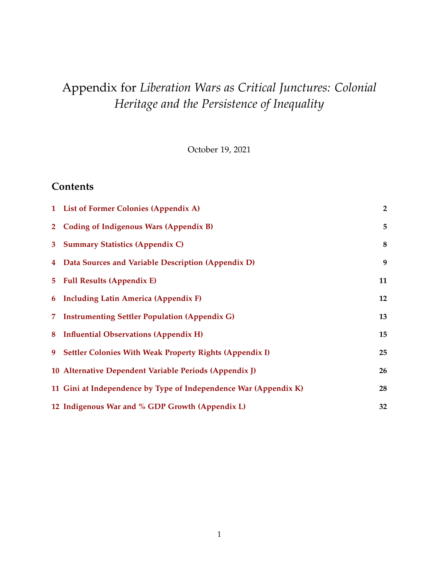# Appendix for *Liberation Wars as Critical Junctures: Colonial Heritage and the Persistence of Inequality*

October 19, 2021

### **Contents**

|                | 1 List of Former Colonies (Appendix A)                           | $\overline{2}$ |
|----------------|------------------------------------------------------------------|----------------|
| 2 <sup>1</sup> | Coding of Indigenous Wars (Appendix B)                           | 5              |
| 3 <sup>7</sup> | <b>Summary Statistics (Appendix C)</b>                           | 8              |
|                | 4 Data Sources and Variable Description (Appendix D)             | 9              |
|                | 5 Full Results (Appendix E)                                      | 11             |
|                | 6 Including Latin America (Appendix F)                           | 12             |
| 7.             | <b>Instrumenting Settler Population (Appendix G)</b>             | 13             |
|                | 8 Influential Observations (Appendix H)                          | 15             |
| 9              | <b>Settler Colonies With Weak Property Rights (Appendix I)</b>   | 25             |
|                | 10 Alternative Dependent Variable Periods (Appendix J)           | 26             |
|                | 11 Gini at Independence by Type of Independence War (Appendix K) | 28             |
|                | 12 Indigenous War and % GDP Growth (Appendix L)                  | 32             |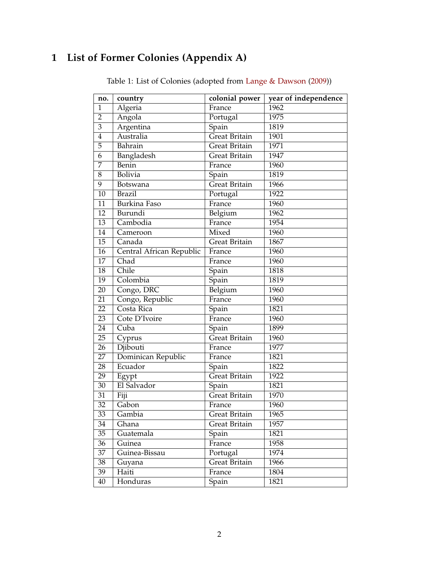# <span id="page-1-0"></span>**1 List of Former Colonies (Appendix A)**

| no.             | country                  | colonial power       | year of independence |
|-----------------|--------------------------|----------------------|----------------------|
| $\mathbf{1}$    | Algeria                  | France               | 1962                 |
| $\overline{2}$  | Angola                   | Portugal             | 1975                 |
| 3               | Argentina                | Spain                | 1819                 |
| $\overline{4}$  | Australia                | <b>Great Britain</b> | 1901                 |
| 5               | Bahrain                  | Great Britain        | 1971                 |
| 6               | Bangladesh               | <b>Great Britain</b> | 1947                 |
| 7               | Benin                    | France               | 1960                 |
| 8               | Bolivia                  | Spain                | 1819                 |
| 9               | Botswana                 | Great Britain        | 1966                 |
| 10              | <b>Brazil</b>            | Portugal             | 1922                 |
| 11              | Burkina Faso             | France               | 1960                 |
| 12              | Burundi                  | Belgium              | 1962                 |
| 13              | Cambodia                 | France               | 1954                 |
| 14              | Cameroon                 | Mixed                | 1960                 |
| 15              | Canada                   | Great Britain        | 1867                 |
| 16              | Central African Republic | France               | 1960                 |
| 17              | Chad                     | France               | 1960                 |
| 18              | Chile                    | Spain                | 1818                 |
| 19              | Colombia                 | Spain                | 1819                 |
| 20              | Congo, DRC               | Belgium              | 1960                 |
| 21              | Congo, Republic          | France               | 1960                 |
| 22              | Costa Rica               | Spain                | 1821                 |
| 23              | Cote D'Ivoire            | France               | 1960                 |
| 24              | Cuba                     | Spain                | 1899                 |
| 25              | Cyprus                   | <b>Great Britain</b> | 1960                 |
| 26              | Djibouti                 | France               | 1977                 |
| $\overline{27}$ | Dominican Republic       | France               | 1821                 |
| 28              | Ecuador                  | Spain                | 1822                 |
| 29              | Egypt                    | <b>Great Britain</b> | 1922                 |
| 30              | El Salvador              | Spain                | 1821                 |
| 31              | Fiji                     | Great Britain        | 1970                 |
| 32              | Gabon                    | France               | 1960                 |
| 33              | Gambia                   | Great Britain        | 1965                 |
| 34              | Ghana                    | <b>Great Britain</b> | 1957                 |
| 35              | Guatemala                | Spain                | 1821                 |
| 36              | Guinea                   | France               | 1958                 |
| 37              | Guinea-Bissau            | Portugal             | 1974                 |
| 38              | Guyana                   | <b>Great Britain</b> | 1966                 |
| $\overline{39}$ | Haiti                    | France               | 1804                 |
| 40              | Honduras                 | Spain                | 1821                 |

Table 1: List of Colonies (adopted from [Lange & Dawson](#page-33-0) [\(2009\)](#page-33-0))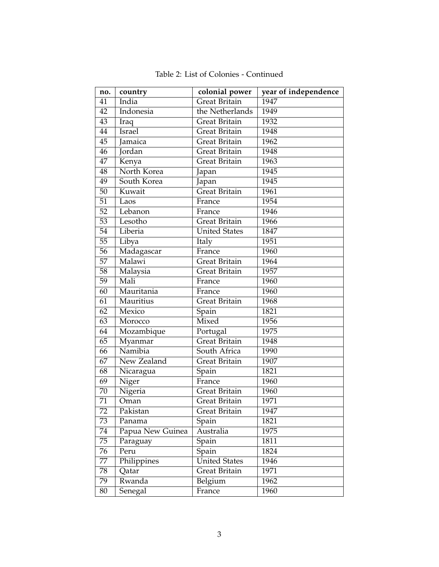| no. | country          | colonial power       | year of independence |
|-----|------------------|----------------------|----------------------|
| 41  | India            | Great Britain        | 1947                 |
| 42  | Indonesia        | the Netherlands      | 1949                 |
| 43  | Iraq             | Great Britain        | 1932                 |
| 44  | Israel           | Great Britain        | 1948                 |
| 45  | Jamaica          | Great Britain        | 1962                 |
| 46  | Jordan           | Great Britain        | 1948                 |
| 47  | Kenya            | Great Britain        | 1963                 |
| 48  | North Korea      | Japan                | 1945                 |
| 49  | South Korea      | Japan                | 1945                 |
| 50  | Kuwait           | Great Britain        | 1961                 |
| 51  | Laos             | France               | 1954                 |
| 52  | Lebanon          | France               | 1946                 |
| 53  | Lesotho          | Great Britain        | 1966                 |
| 54  | Liberia          | <b>United States</b> | 1847                 |
| 55  | Libya            | Italy                | 1951                 |
| 56  | Madagascar       | France               | 1960                 |
| 57  | Malawi           | Great Britain        | 1964                 |
| 58  | Malaysia         | Great Britain        | 1957                 |
| 59  | Mali             | France               | 1960                 |
| 60  | Mauritania       | France               | 1960                 |
| 61  | Mauritius        | Great Britain        | 1968                 |
| 62  | Mexico           | Spain                | 1821                 |
| 63  | Morocco          | Mixed                | 1956                 |
| 64  | Mozambique       | Portugal             | 1975                 |
| 65  | Myanmar          | <b>Great Britain</b> | 1948                 |
| 66  | Namibia          | South Africa         | 1990                 |
| 67  | New Zealand      | Great Britain        | 1907                 |
| 68  | Nicaragua        | Spain                | 1821                 |
| 69  | Niger            | France               | 1960                 |
| 70  | Nigeria          | Great Britain        | 1960                 |
| 71  | Oman             | Great Britain        | 1971                 |
| 72  | Pakistan         | Great Britain        | 1947                 |
| 73  | Panama           | Spain                | 1821                 |
| 74  | Papua New Guinea | Australia            | 1975                 |
| 75  | Paraguay         | Spain                | 1811                 |
| 76  | Peru             | Spain                | 1824                 |
| 77  | Philippines      | <b>United States</b> | 1946                 |
| 78  | Qatar            | Great Britain        | 1971                 |
| 79  | Rwanda           | Belgium              | 1962                 |
| 80  | Senegal          | France               | 1960                 |

Table 2: List of Colonies - Continued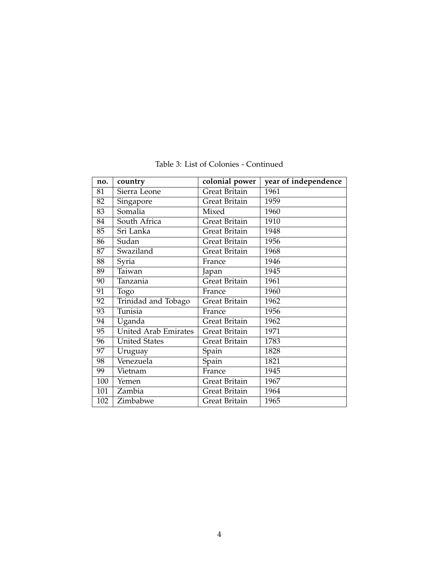| no. | country                     | colonial power       | year of independence |
|-----|-----------------------------|----------------------|----------------------|
| 81  | Sierra Leone                | <b>Great Britain</b> | 1961                 |
| 82  | Singapore                   | Great Britain        | 1959                 |
| 83  | Somalia                     | Mixed                | 1960                 |
| 84  | South Africa                | Great Britain        | 1910                 |
| 85  | Sri Lanka                   | Great Britain        | 1948                 |
| 86  | Sudan                       | Great Britain        | 1956                 |
| 87  | Swaziland                   | Great Britain        | 1968                 |
| 88  | Syria                       | France               | 1946                 |
| 89  | Taiwan                      | Japan                | 1945                 |
| 90  | Tanzania                    | Great Britain        | 1961                 |
| 91  | Togo                        | France               | 1960                 |
| 92  | Trinidad and Tobago         | Great Britain        | 1962                 |
| 93  | Tunisia                     | France               | 1956                 |
| 94  | Uganda                      | Great Britain        | 1962                 |
| 95  | <b>United Arab Emirates</b> | Great Britain        | 1971                 |
| 96  | <b>United States</b>        | Great Britain        | 1783                 |
| 97  | Uruguay                     | Spain                | 1828                 |
| 98  | Venezuela                   | Spain                | 1821                 |
| 99  | Vietnam                     | France               | 1945                 |
| 100 | Yemen                       | Great Britain        | 1967                 |
| 101 | Zambia                      | Great Britain        | 1964                 |
| 102 | Zimbabwe                    | Great Britain        | 1965                 |

Table 3: List of Colonies - Continued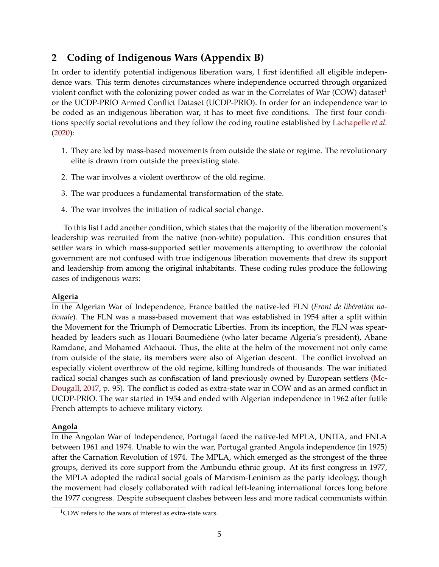## <span id="page-4-0"></span>**2 Coding of Indigenous Wars (Appendix B)**

In order to identify potential indigenous liberation wars, I first identified all eligible independence wars. This term denotes circumstances where independence occurred through organized violent conflict with the colonizing power coded as war in the Correlates of War (COW) dataset<sup>[1](#page-4-1)</sup> or the UCDP-PRIO Armed Conflict Dataset (UCDP-PRIO). In order for an independence war to be coded as an indigenous liberation war, it has to meet five conditions. The first four conditions specify social revolutions and they follow the coding routine established by [Lachapelle](#page-33-1) *et al.* [\(2020\)](#page-33-1):

- 1. They are led by mass-based movements from outside the state or regime. The revolutionary elite is drawn from outside the preexisting state.
- 2. The war involves a violent overthrow of the old regime.
- 3. The war produces a fundamental transformation of the state.
- 4. The war involves the initiation of radical social change.

To this list I add another condition, which states that the majority of the liberation movement's leadership was recruited from the native (non-white) population. This condition ensures that settler wars in which mass-supported settler movements attempting to overthrow the colonial government are not confused with true indigenous liberation movements that drew its support and leadership from among the original inhabitants. These coding rules produce the following cases of indigenous wars:

#### **Algeria**

In the Algerian War of Independence, France battled the native-led FLN (*Front de libération nationale*). The FLN was a mass-based movement that was established in 1954 after a split within the Movement for the Triumph of Democratic Liberties. From its inception, the FLN was spearheaded by leaders such as Houari Boumediène (who later became Algeria's president), Abane Ramdane, and Mohamed Aïchaoui. Thus, the elite at the helm of the movement not only came from outside of the state, its members were also of Algerian descent. The conflict involved an especially violent overthrow of the old regime, killing hundreds of thousands. The war initiated radical social changes such as confiscation of land previously owned by European settlers [\(Mc-](#page-33-2)[Dougall,](#page-33-2) [2017,](#page-33-2) p. 95). The conflict is coded as extra-state war in COW and as an armed conflict in UCDP-PRIO. The war started in 1954 and ended with Algerian independence in 1962 after futile French attempts to achieve military victory.

#### **Angola**

In the Angolan War of Independence, Portugal faced the native-led MPLA, UNITA, and FNLA between 1961 and 1974. Unable to win the war, Portugal granted Angola independence (in 1975) after the Carnation Revolution of 1974. The MPLA, which emerged as the strongest of the three groups, derived its core support from the Ambundu ethnic group. At its first congress in 1977, the MPLA adopted the radical social goals of Marxism-Leninism as the party ideology, though the movement had closely collaborated with radical left-leaning international forces long before the 1977 congress. Despite subsequent clashes between less and more radical communists within

<span id="page-4-1"></span><sup>&</sup>lt;sup>1</sup>COW refers to the wars of interest as extra-state wars.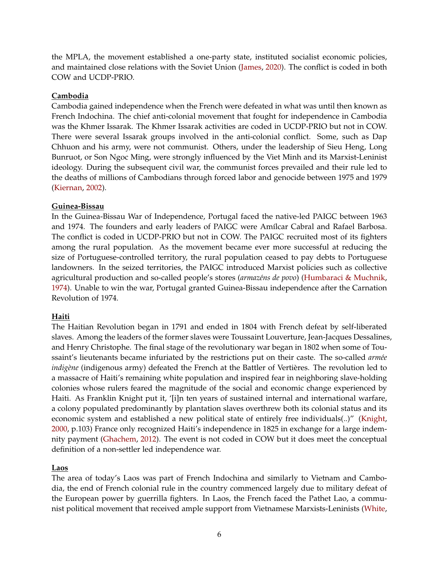the MPLA, the movement established a one-party state, instituted socialist economic policies, and maintained close relations with the Soviet Union [\(James,](#page-33-3) [2020\)](#page-33-3). The conflict is coded in both COW and UCDP-PRIO.

#### **Cambodia**

Cambodia gained independence when the French were defeated in what was until then known as French Indochina. The chief anti-colonial movement that fought for independence in Cambodia was the Khmer Issarak. The Khmer Issarak activities are coded in UCDP-PRIO but not in COW. There were several Issarak groups involved in the anti-colonial conflict. Some, such as Dap Chhuon and his army, were not communist. Others, under the leadership of Sieu Heng, Long Bunruot, or Son Ngoc Ming, were strongly influenced by the Viet Minh and its Marxist-Leninist ideology. During the subsequent civil war, the communist forces prevailed and their rule led to the deaths of millions of Cambodians through forced labor and genocide between 1975 and 1979 [\(Kiernan,](#page-33-4) [2002\)](#page-33-4).

#### **Guinea-Bissau**

In the Guinea-Bissau War of Independence, Portugal faced the native-led PAIGC between 1963 and 1974. The founders and early leaders of PAIGC were Amílcar Cabral and Rafael Barbosa. The conflict is coded in UCDP-PRIO but not in COW. The PAIGC recruited most of its fighters among the rural population. As the movement became ever more successful at reducing the size of Portuguese-controlled territory, the rural population ceased to pay debts to Portuguese landowners. In the seized territories, the PAIGC introduced Marxist policies such as collective agricultural production and so-called people's stores (*armazéns de povo*) [\(Humbaraci & Muchnik,](#page-33-5) [1974\)](#page-33-5). Unable to win the war, Portugal granted Guinea-Bissau independence after the Carnation Revolution of 1974.

#### **Haiti**

The Haitian Revolution began in 1791 and ended in 1804 with French defeat by self-liberated slaves. Among the leaders of the former slaves were Toussaint Louverture, Jean-Jacques Dessalines, and Henry Christophe. The final stage of the revolutionary war began in 1802 when some of Toussaint's lieutenants became infuriated by the restrictions put on their caste. The so-called *armée indigène* (indigenous army) defeated the French at the Battler of Vertières. The revolution led to a massacre of Haiti's remaining white population and inspired fear in neighboring slave-holding colonies whose rulers feared the magnitude of the social and economic change experienced by Haiti. As Franklin Knight put it, '[i]n ten years of sustained internal and international warfare, a colony populated predominantly by plantation slaves overthrew both its colonial status and its economic system and established a new political state of entirely free individuals(..)" [\(Knight,](#page-33-6) [2000,](#page-33-6) p.103) France only recognized Haiti's independence in 1825 in exchange for a large indemnity payment [\(Ghachem,](#page-33-7) [2012\)](#page-33-7). The event is not coded in COW but it does meet the conceptual definition of a non-settler led independence war.

#### **Laos**

The area of today's Laos was part of French Indochina and similarly to Vietnam and Cambodia, the end of French colonial rule in the country commenced largely due to military defeat of the European power by guerrilla fighters. In Laos, the French faced the Pathet Lao, a communist political movement that received ample support from Vietnamese Marxists-Leninists [\(White,](#page-34-0)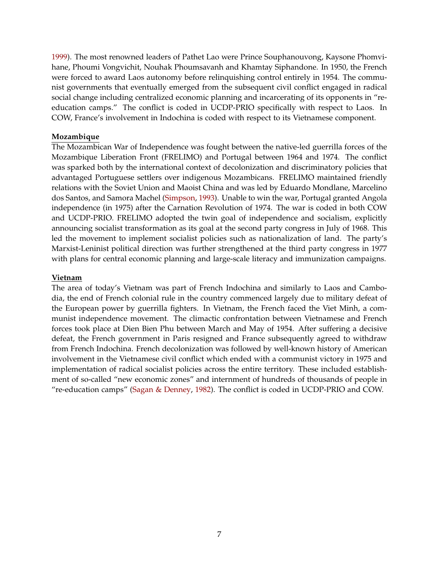[1999\)](#page-34-0). The most renowned leaders of Pathet Lao were Prince Souphanouvong, Kaysone Phomvihane, Phoumi Vongvichit, Nouhak Phoumsavanh and Khamtay Siphandone. In 1950, the French were forced to award Laos autonomy before relinquishing control entirely in 1954. The communist governments that eventually emerged from the subsequent civil conflict engaged in radical social change including centralized economic planning and incarcerating of its opponents in "reeducation camps." The conflict is coded in UCDP-PRIO specifically with respect to Laos. In COW, France's involvement in Indochina is coded with respect to its Vietnamese component.

#### **Mozambique**

The Mozambican War of Independence was fought between the native-led guerrilla forces of the Mozambique Liberation Front (FRELIMO) and Portugal between 1964 and 1974. The conflict was sparked both by the international context of decolonization and discriminatory policies that advantaged Portuguese settlers over indigenous Mozambicans. FRELIMO maintained friendly relations with the Soviet Union and Maoist China and was led by Eduardo Mondlane, Marcelino dos Santos, and Samora Machel [\(Simpson,](#page-34-1) [1993\)](#page-34-1). Unable to win the war, Portugal granted Angola independence (in 1975) after the Carnation Revolution of 1974. The war is coded in both COW and UCDP-PRIO. FRELIMO adopted the twin goal of independence and socialism, explicitly announcing socialist transformation as its goal at the second party congress in July of 1968. This led the movement to implement socialist policies such as nationalization of land. The party's Marxist-Leninist political direction was further strengthened at the third party congress in 1977 with plans for central economic planning and large-scale literacy and immunization campaigns.

#### **Vietnam**

The area of today's Vietnam was part of French Indochina and similarly to Laos and Cambodia, the end of French colonial rule in the country commenced largely due to military defeat of the European power by guerrilla fighters. In Vietnam, the French faced the Viet Minh, a communist independence movement. The climactic confrontation between Vietnamese and French forces took place at Dien Bien Phu between March and May of 1954. After suffering a decisive defeat, the French government in Paris resigned and France subsequently agreed to withdraw from French Indochina. French decolonization was followed by well-known history of American involvement in the Vietnamese civil conflict which ended with a communist victory in 1975 and implementation of radical socialist policies across the entire territory. These included establishment of so-called "new economic zones" and internment of hundreds of thousands of people in "re-education camps" [\(Sagan & Denney,](#page-34-2) [1982\)](#page-34-2). The conflict is coded in UCDP-PRIO and COW.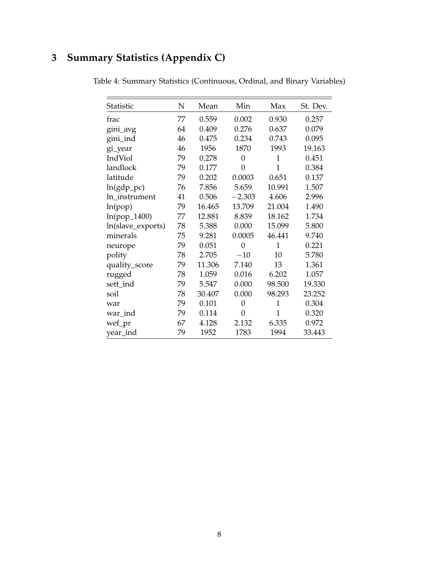# <span id="page-7-0"></span>**3 Summary Statistics (Appendix C)**

| Statistic         | N  | Mean   | Min            | Max            | St. Dev. |
|-------------------|----|--------|----------------|----------------|----------|
| frac              | 77 | 0.559  | 0.002          | 0.930          | 0.257    |
| gini_avg          | 64 | 0.409  | 0.276          | 0.637          | 0.079    |
| gini_ind          | 46 | 0.475  | 0.234          | 0.743          | 0.095    |
| gi_year           | 46 | 1956   | 1870           | 1993           | 19.163   |
| IndViol           | 79 | 0.278  | $\theta$       | 1              | 0.451    |
| landlock          | 79 | 0.177  | 0              | $\overline{1}$ | 0.384    |
| latitude          | 79 | 0.202  | 0.0003         | 0.651          | 0.137    |
| $ln(gdp_pc)$      | 76 | 7.856  | 5.659          | 10.991         | 1.507    |
| ln_instrument     | 41 | 0.506  | $-2.303$       | 4.606          | 2.996    |
| ln(pop)           | 79 | 16.465 | 13.709         | 21.004         | 1.490    |
| $ln(pop_1400)$    | 77 | 12.881 | 8.839          | 18.162         | 1.734    |
| ln(slave_exports) | 78 | 5.388  | 0.000          | 15.099         | 5.800    |
| minerals          | 75 | 9.281  | 0.0005         | 46.441         | 9.740    |
| neurope           | 79 | 0.051  | $\overline{0}$ | $\mathbf{1}$   | 0.221    |
| polity            | 78 | 2.705  | $-10$          | 10             | 5.780    |
| quality_score     | 79 | 11.306 | 7.140          | 13             | 1.361    |
| rugged            | 78 | 1.059  | 0.016          | 6.202          | 1.057    |
| sett_ind          | 79 | 5.547  | 0.000          | 98.500         | 19.330   |
| soil              | 78 | 30.407 | 0.000          | 98.293         | 23.252   |
| war               | 79 | 0.101  | $\overline{0}$ | $\overline{1}$ | 0.304    |
| war_ind           | 79 | 0.114  | 0              | 1              | 0.320    |
| wef_pr            | 67 | 4.128  | 2.132          | 6.335          | 0.972    |
| year_ind          | 79 | 1952   | 1783           | 1994           | 33.443   |

Table 4: Summary Statistics (Continuous, Ordinal, and Binary Variables)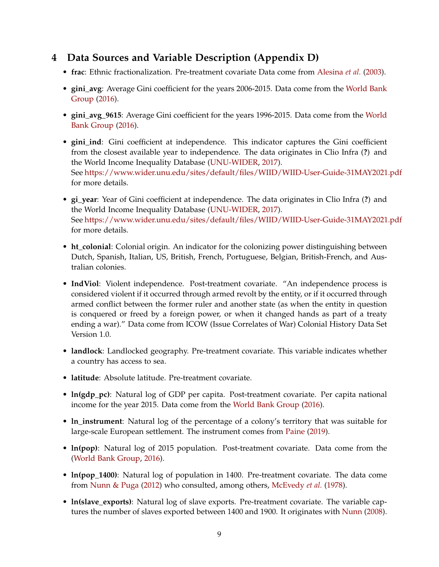## <span id="page-8-0"></span>**4 Data Sources and Variable Description (Appendix D)**

- **frac**: Ethnic fractionalization. Pre-treatment covariate Data come from [Alesina](#page-33-8) *et al.* [\(2003\)](#page-33-8).
- **gini\_avg**: Average Gini coefficient for the years 2006-2015. Data come from the [World Bank](#page-34-3) [Group](#page-34-3) [\(2016\)](#page-34-3).
- **gini\_avg\_9615**: Average Gini coefficient for the years 1996-2015. Data come from the [World](#page-34-3) [Bank Group](#page-34-3) [\(2016\)](#page-34-3).
- **gini\_ind**: Gini coefficient at independence. This indicator captures the Gini coefficient from the closest available year to independence. The data originates in Clio Infra (**?**) and the World Income Inequality Database [\(UNU-WIDER,](#page-34-4) [2017\)](#page-34-4). See <https://www.wider.unu.edu/sites/default/files/WIID/WIID-User-Guide-31MAY2021.pdf> for more details.
- **gi\_year**: Year of Gini coefficient at independence. The data originates in Clio Infra (**?**) and the World Income Inequality Database [\(UNU-WIDER,](#page-34-4) [2017\)](#page-34-4). See <https://www.wider.unu.edu/sites/default/files/WIID/WIID-User-Guide-31MAY2021.pdf> for more details.
- **ht\_colonial**: Colonial origin. An indicator for the colonizing power distinguishing between Dutch, Spanish, Italian, US, British, French, Portuguese, Belgian, British-French, and Australian colonies.
- **IndViol**: Violent independence. Post-treatment covariate. "An independence process is considered violent if it occurred through armed revolt by the entity, or if it occurred through armed conflict between the former ruler and another state (as when the entity in question is conquered or freed by a foreign power, or when it changed hands as part of a treaty ending a war)." Data come from ICOW (Issue Correlates of War) Colonial History Data Set Version 1.0.
- **landlock**: Landlocked geography. Pre-treatment covariate. This variable indicates whether a country has access to sea.
- **latitude**: Absolute latitude. Pre-treatment covariate.
- **ln(gdp\_pc)**: Natural log of GDP per capita. Post-treatment covariate. Per capita national income for the year 2015. Data come from the [World Bank Group](#page-34-3) [\(2016\)](#page-34-3).
- **ln\_instrument**: Natural log of the percentage of a colony's territory that was suitable for large-scale European settlement. The instrument comes from [Paine](#page-33-9) [\(2019\)](#page-33-9).
- **ln(pop)**: Natural log of 2015 population. Post-treatment covariate. Data come from the [\(World Bank Group,](#page-34-3) [2016\)](#page-34-3).
- **ln(pop\_1400)**: Natural log of population in 1400. Pre-treatment covariate. The data come from [Nunn & Puga](#page-33-10) [\(2012\)](#page-33-10) who consulted, among others, [McEvedy](#page-33-11) *et al.* [\(1978\)](#page-33-11).
- **ln(slave\_exports)**: Natural log of slave exports. Pre-treatment covariate. The variable captures the number of slaves exported between 1400 and 1900. It originates with [Nunn](#page-33-12) [\(2008\)](#page-33-12).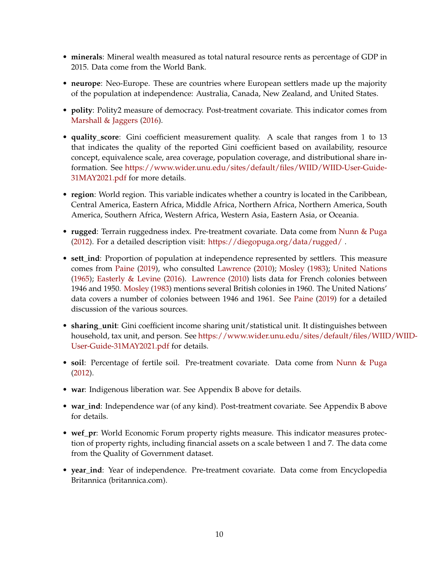- **minerals**: Mineral wealth measured as total natural resource rents as percentage of GDP in 2015. Data come from the World Bank.
- **neurope**: Neo-Europe. These are countries where European settlers made up the majority of the population at independence: Australia, Canada, New Zealand, and United States.
- **polity**: Polity2 measure of democracy. Post-treatment covariate. This indicator comes from [Marshall & Jaggers](#page-33-13) [\(2016\)](#page-33-13).
- **quality\_score**: Gini coefficient measurement quality. A scale that ranges from 1 to 13 that indicates the quality of the reported Gini coefficient based on availability, resource concept, equivalence scale, area coverage, population coverage, and distributional share information. See [https://www.wider.unu.edu/sites/default/files/WIID/WIID-User-Guide-](https://www.wider.unu.edu/sites/default/files/WIID/WIID-User-Guide-31MAY2021.pdf)[31MAY2021.pdf](https://www.wider.unu.edu/sites/default/files/WIID/WIID-User-Guide-31MAY2021.pdf) for more details.
- **region**: World region. This variable indicates whether a country is located in the Caribbean, Central America, Eastern Africa, Middle Africa, Northern Africa, Northern America, South America, Southern Africa, Western Africa, Western Asia, Eastern Asia, or Oceania.
- **rugged**: Terrain ruggedness index. Pre-treatment covariate. Data come from [Nunn & Puga](#page-33-10) [\(2012\)](#page-33-10). For a detailed description visit: <https://diegopuga.org/data/rugged/>.
- **sett\_ind**: Proportion of population at independence represented by settlers. This measure comes from [Paine](#page-33-9) [\(2019\)](#page-33-9), who consulted [Lawrence](#page-33-14) [\(2010\)](#page-33-14); [Mosley](#page-33-15) [\(1983\)](#page-33-15); [United Nations](#page-34-5) [\(1965\)](#page-34-5); [Easterly & Levine](#page-33-16) [\(2016\)](#page-33-16). [Lawrence](#page-33-14) [\(2010\)](#page-33-14) lists data for French colonies between 1946 and 1950. [Mosley](#page-33-15) [\(1983\)](#page-33-15) mentions several British colonies in 1960. The United Nations' data covers a number of colonies between 1946 and 1961. See [Paine](#page-33-9) [\(2019\)](#page-33-9) for a detailed discussion of the various sources.
- **sharing\_unit**: Gini coefficient income sharing unit/statistical unit. It distinguishes between household, tax unit, and person. See [https://www.wider.unu.edu/sites/default/files/WIID](https://www.wider.unu.edu/sites/default/files/WIID/WIID-User-Guide-31MAY2021.pdf)/WIID-[User-Guide-31MAY2021.pdf](https://www.wider.unu.edu/sites/default/files/WIID/WIID-User-Guide-31MAY2021.pdf) for details.
- **soil**: Percentage of fertile soil. Pre-treatment covariate. Data come from [Nunn & Puga](#page-33-10) [\(2012\)](#page-33-10).
- **war**: Indigenous liberation war. See Appendix B above for details.
- **war\_ind**: Independence war (of any kind). Post-treatment covariate. See Appendix B above for details.
- **wef\_pr**: World Economic Forum property rights measure. This indicator measures protection of property rights, including financial assets on a scale between 1 and 7. The data come from the Quality of Government dataset.
- **year\_ind**: Year of independence. Pre-treatment covariate. Data come from Encyclopedia Britannica (britannica.com).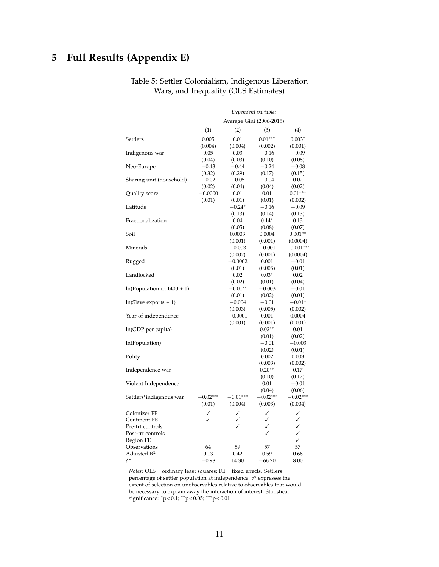# <span id="page-10-0"></span>**5 Full Results (Appendix E)**

|                              | Dependent variable: |                          |            |             |  |
|------------------------------|---------------------|--------------------------|------------|-------------|--|
|                              |                     | Average Gini (2006-2015) |            |             |  |
|                              | (1)                 | (2)                      | (3)        | (4)         |  |
| Settlers                     | 0.005               | 0.01                     | $0.01***$  | $0.003*$    |  |
|                              | (0.004)             | (0.004)                  | (0.002)    | (0.001)     |  |
| Indigenous war               | 0.05                | 0.03                     | $-0.16$    | $-0.09$     |  |
|                              | (0.04)              | (0.03)                   | (0.10)     | (0.08)      |  |
| Neo-Europe                   | $-0.43$             | $-0.44$                  | $-0.24$    | $-0.08$     |  |
|                              | (0.32)              | (0.29)                   | (0.17)     | (0.15)      |  |
| Sharing unit (household)     | $-0.02$             | $-0.05$                  | $-0.04$    | 0.02        |  |
|                              | (0.02)              | (0.04)                   | (0.04)     | (0.02)      |  |
| Quality score                | $-0.0000$           | 0.01                     | 0.01       | $0.01***$   |  |
|                              | (0.01)              | (0.01)                   | (0.01)     | (0.002)     |  |
| Latitude                     |                     | $-0.24*$                 | $-0.16$    | $-0.09$     |  |
|                              |                     | (0.13)                   | (0.14)     | (0.13)      |  |
| Fractionalization            |                     | 0.04                     | $0.14*$    | 0.13        |  |
|                              |                     | (0.05)                   | (0.08)     | (0.07)      |  |
| Soil                         |                     | 0.0003                   | 0.0004     | $0.001**$   |  |
|                              |                     | (0.001)                  | (0.001)    | (0.0004)    |  |
| Minerals                     |                     | $-0.003$                 | $-0.001$   | $-0.001***$ |  |
|                              |                     | (0.002)                  | (0.001)    | (0.0004)    |  |
| Rugged                       |                     | $-0.0002$                | 0.001      | $-0.01$     |  |
|                              |                     | (0.01)                   | (0.005)    | (0.01)      |  |
| Landlocked                   |                     | 0.02                     | $0.03*$    | 0.02        |  |
|                              |                     | (0.02)                   | (0.01)     | (0.04)      |  |
| $ln(Population in 1400 + 1)$ |                     | $-0.01^{\ast\ast}$       | $-0.003$   | $-0.01$     |  |
|                              |                     | (0.01)                   | (0.02)     | (0.01)      |  |
| $ln(Slave exports + 1)$      |                     | $-0.004$                 | $-0.01$    | $-0.01^*$   |  |
|                              |                     | (0.003)                  | (0.005)    | (0.002)     |  |
| Year of independence         |                     | $-0.0001$                | 0.001      | 0.0004      |  |
|                              |                     | (0.001)                  | (0.001)    | (0.001)     |  |
| ln(GDP per capita)           |                     |                          | $0.02**$   | 0.01        |  |
|                              |                     |                          | (0.01)     | (0.02)      |  |
| ln(Population)               |                     |                          | $-0.01$    | $-0.003$    |  |
|                              |                     |                          | (0.02)     | (0.01)      |  |
| Polity                       |                     |                          | 0.002      | 0.003       |  |
|                              |                     |                          | (0.003)    | (0.002)     |  |
| Independence war             |                     |                          | $0.20**$   | 0.17        |  |
|                              |                     |                          | (0.10)     | (0.12)      |  |
| Violent Independence         |                     |                          | 0.01       | $-0.01$     |  |
|                              |                     |                          | (0.04)     | (0.06)      |  |
| Settlers*indigenous war      | $-0.02***$          | $-0.01***$               | $-0.02***$ | $-0.02***$  |  |
|                              | (0.01)              | (0.004)                  | (0.003)    | (0.004)     |  |
| Colonizer FE                 | ✓                   | ✓                        | ✓          | ✓           |  |
| Continent FE                 | ✓                   | ✓                        | ✓          | √           |  |
| Pre-trt controls             |                     | ✓                        | ✓          | ✓           |  |
| Post-trt controls            |                     |                          |            | ✓           |  |
| Region FE                    |                     |                          |            | ✓           |  |
| Observations                 | 64                  | 59                       | 57         | 57          |  |
| Adjusted R <sup>2</sup>      | 0.13                | 0.42                     | 0.59       | 0.66        |  |
| $\delta^*$                   | $-0.98$             | 14.30                    | $-66.70$   | 8.00        |  |
|                              |                     |                          |            |             |  |

Table 5: Settler Colonialism, Indigenous Liberation Wars, and Inequality (OLS Estimates)

*Notes*: OLS = ordinary least squares; FE = fixed effects. Settlers = percentage of settler population at independence. *<sup>δ</sup>*\* expresses the extent of selection on unobservables relative to observables that would be necessary to explain away the interaction of interest. Statistical significance: <sup>∗</sup>p<0.1; ∗∗p<0.05; ∗∗∗p<0.01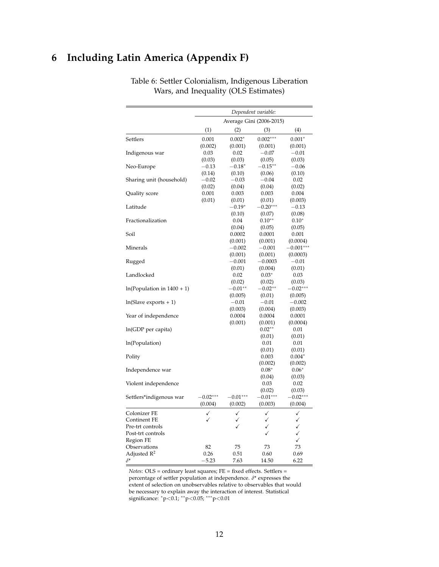# <span id="page-11-0"></span>**6 Including Latin America (Appendix F)**

|                              |            |              | Dependent variable:      |              |
|------------------------------|------------|--------------|--------------------------|--------------|
|                              |            |              | Average Gini (2006-2015) |              |
|                              | (1)        | (2)          | (3)                      | (4)          |
| Settlers                     | 0.001      | $0.002*$     | $0.002***$               | $0.001*$     |
|                              | (0.002)    | (0.001)      | (0.001)                  | (0.001)      |
| Indigenous war               | 0.03       | 0.02         | $-0.07$                  | $-0.01$      |
|                              | (0.03)     | (0.03)       | (0.05)                   | (0.03)       |
| Neo-Europe                   | $-0.13$    | $-0.18^*$    | $-0.15***$               | $-0.06$      |
|                              | (0.14)     | (0.10)       | (0.06)                   | (0.10)       |
| Sharing unit (household)     | $-0.02$    | $-0.03$      | $-0.04$                  | 0.02         |
|                              | (0.02)     | (0.04)       | (0.04)                   | (0.02)       |
| Quality score                | 0.001      | 0.003        | 0.003                    | 0.004        |
|                              | (0.01)     | (0.01)       | (0.01)                   | (0.003)      |
| Latitude                     |            | $-0.19*$     | $-0.20***$               | $-0.13$      |
|                              |            | (0.10)       | (0.07)                   | (0.08)       |
| Fractionalization            |            | 0.04         | $0.10**$                 | $0.10*$      |
|                              |            | (0.04)       | (0.05)                   | (0.05)       |
| Soil                         |            | 0.0002       | 0.0001                   | 0.001        |
|                              |            | (0.001)      | (0.001)                  | (0.0004)     |
| Minerals                     |            | $-0.002$     | $-0.001$                 | $-0.001***$  |
|                              |            | (0.001)      | (0.001)                  | (0.0003)     |
| Rugged                       |            | $-0.001$     | $-0.0003$                | $-0.01$      |
|                              |            | (0.01)       | (0.004)                  | (0.01)       |
| Landlocked                   |            | 0.02         | $0.03*$                  | 0.03         |
|                              |            | (0.02)       | (0.02)                   | (0.03)       |
| $ln(Population in 1400 + 1)$ |            | $-0.01**$    | $-0.02**$                | $-0.02***$   |
|                              |            | (0.005)      | (0.01)                   | (0.005)      |
| $ln(Slave exports + 1)$      |            | $-0.01$      | $-0.01$                  | $-0.002$     |
|                              |            | (0.003)      | (0.004)                  | (0.003)      |
| Year of independence         |            | 0.0004       | 0.0004                   | 0.0001       |
|                              |            | (0.001)      | (0.001)                  | (0.0004)     |
| ln(GDP per capita)           |            |              | $0.02**$                 | 0.01         |
|                              |            |              | (0.01)                   | (0.01)       |
| ln(Population)               |            |              | 0.01                     | 0.01         |
|                              |            |              | (0.01)                   | (0.01)       |
| Polity                       |            |              | 0.003                    | $0.004*$     |
|                              |            |              | (0.002)                  | (0.002)      |
| Independence war             |            |              | $0.08*$                  | $0.06*$      |
|                              |            |              | (0.04)                   | (0.03)       |
| Violent independence         |            |              | 0.03                     | 0.02         |
|                              |            |              | (0.02)                   | (0.03)       |
| Settlers*indigenous war      | $-0.02***$ | $-0.01***$   | $-0.01***$               | $-0.02***$   |
|                              | (0.004)    | (0.002)      | (0.003)                  | (0.004)      |
| Colonizer FE                 | ✓          | ✓            | ✓                        | ✓            |
| Continent FE                 | ✓          | ✓            | ✓                        | ✓            |
| Pre-trt controls             |            | $\checkmark$ | ✓                        | ✓            |
| Post-trt controls            |            |              | ✓                        | $\checkmark$ |
| Region FE                    |            |              |                          | $\checkmark$ |
| Observations                 | 82         | 75           | 73                       | 73           |
| Adjusted $R^2$               | 0.26       | 0.51         | 0.60                     | 0.69         |
| $\delta^*$                   | $-5.23$    | 7.63         | 14.50                    | 6.22         |

Table 6: Settler Colonialism, Indigenous Liberation Wars, and Inequality (OLS Estimates)

*Notes*: OLS = ordinary least squares; FE = fixed effects. Settlers = percentage of settler population at independence. *<sup>δ</sup>*\* expresses the extent of selection on unobservables relative to observables that would be necessary to explain away the interaction of interest. Statistical significance: \*p<0.1; \*\*p<0.05; \*\*\*p<0.01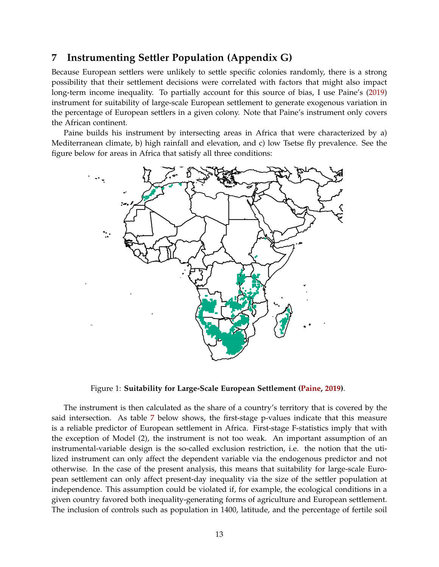### <span id="page-12-0"></span>**7 Instrumenting Settler Population (Appendix G)**

Because European settlers were unlikely to settle specific colonies randomly, there is a strong possibility that their settlement decisions were correlated with factors that might also impact long-term income inequality. To partially account for this source of bias, I use Paine's [\(2019\)](#page-33-9) instrument for suitability of large-scale European settlement to generate exogenous variation in the percentage of European settlers in a given colony. Note that Paine's instrument only covers the African continent.

Paine builds his instrument by intersecting areas in Africa that were characterized by a) Mediterranean climate, b) high rainfall and elevation, and c) low Tsetse fly prevalence. See the figure below for areas in Africa that satisfy all three conditions:



Figure 1: **Suitability for Large-Scale European Settlement [\(Paine,](#page-33-9) [2019\)](#page-33-9)**.

The instrument is then calculated as the share of a country's territory that is covered by the said intersection. As table [7](#page-13-0) below shows, the first-stage p-values indicate that this measure is a reliable predictor of European settlement in Africa. First-stage F-statistics imply that with the exception of Model (2), the instrument is not too weak. An important assumption of an instrumental-variable design is the so-called exclusion restriction, i.e. the notion that the utilized instrument can only affect the dependent variable via the endogenous predictor and not otherwise. In the case of the present analysis, this means that suitability for large-scale European settlement can only affect present-day inequality via the size of the settler population at independence. This assumption could be violated if, for example, the ecological conditions in a given country favored both inequality-generating forms of agriculture and European settlement. The inclusion of controls such as population in 1400, latitude, and the percentage of fertile soil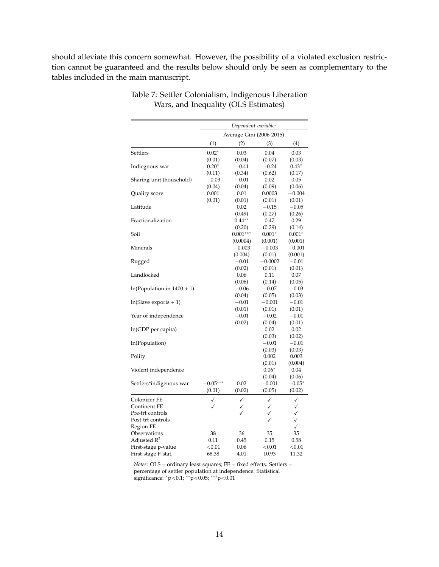<span id="page-13-0"></span>should alleviate this concern somewhat. However, the possibility of a violated exclusion restriction cannot be guaranteed and the results below should only be seen as complementary to the tables included in the main manuscript.

|                              | Dependent variable: |              |                          |              |
|------------------------------|---------------------|--------------|--------------------------|--------------|
|                              |                     |              | Average Gini (2006-2015) |              |
|                              | (1)                 | (2)          | (3)                      | (4)          |
| Settlers                     | $0.02*$             | 0.03         | 0.04                     | 0.03         |
|                              | (0.01)              | (0.04)       | (0.07)                   | (0.03)       |
| Indiegnous war               | $0.20*$             | $-0.41$      | $-0.24$                  | $0.43*$      |
|                              | (0.11)              | (0.34)       | (0.62)                   | (0.17)       |
| Sharing unit (household)     | $-0.03$             | $-0.01$      | 0.02                     | 0.05         |
|                              | (0.04)              | (0.04)       | (0.09)                   | (0.06)       |
| Quality score                | 0.001               | 0.01         | 0.0003                   | $-0.004$     |
|                              | (0.01)              | (0.01)       | (0.01)                   | (0.01)       |
| Latitude                     |                     | 0.02         | $-0.15$                  | $-0.05$      |
|                              |                     | (0.49)       | (0.27)                   | (0.26)       |
| Fractionalization            |                     | $0.44**$     | 0.47                     | 0.29         |
|                              |                     | (0.20)       | (0.29)                   | (0.14)       |
| Soil                         |                     | $0.001***$   | $0.001*$                 | $0.001*$     |
|                              |                     | (0.0004)     | (0.001)                  | (0.001)      |
| Minerals                     |                     | $-0.003$     | $-0.003$                 | $-0.001$     |
|                              |                     | (0.004)      | (0.01)                   | (0.001)      |
| Rugged                       |                     | $-0.01$      | $-0.0002$                | $-0.01$      |
|                              |                     | (0.02)       | (0.01)                   | (0.01)       |
| Landlocked                   |                     | 0.06         | 0.11                     | 0.07         |
|                              |                     | (0.06)       | (0.14)                   | (0.05)       |
| $ln(Population in 1400 + 1)$ |                     | $-0.06$      | $-0.07$                  | $-0.03$      |
|                              |                     | (0.04)       | (0.05)                   | (0.03)       |
| $ln(Slave exports + 1)$      |                     | $-0.01$      | $-0.001$                 | $-0.01$      |
|                              |                     | (0.01)       | (0.01)                   | (0.01)       |
| Year of independence         |                     | $-0.01$      | $-0.02$                  | $-0.01$      |
|                              |                     | (0.02)       | (0.04)                   | (0.01)       |
| ln(GDP per capita)           |                     |              | 0.02                     | 0.02         |
|                              |                     |              | (0.03)                   | (0.02)       |
| ln(Population)               |                     |              | $-0.01$                  | $-0.01$      |
|                              |                     |              | (0.03)                   | (0.03)       |
| Polity                       |                     |              | 0.002                    | 0.003        |
|                              |                     |              | (0.01)                   | (0.004)      |
| Violent independence         |                     |              | $0.06*$                  | 0.04         |
|                              |                     |              | (0.04)                   | (0.06)       |
| Settlers*indigenous war      | $-0.05***$          | 0.02         | $-0.001$                 | $-0.05*$     |
|                              | (0.01)              | (0.02)       | (0.05)                   | (0.02)       |
| Colonizer FE                 | ✓                   | $\checkmark$ | ✓                        | ✓            |
| Continent FE                 | ✓                   | ✓            | $\checkmark$             | $\checkmark$ |
| Pre-trt controls             |                     | $\checkmark$ | ✓                        | ✓            |
| Post-trt controls            |                     |              | ✓                        | $\checkmark$ |
| Region FE                    |                     |              |                          | $\checkmark$ |
| Observations                 | 38                  | 36           | 35                       | 35           |
| Adjusted R <sup>2</sup>      | 0.11                | 0.45         | 0.15                     | 0.58         |
| First-stage p-value          | < 0.01              | 0.06         | < 0.01                   | < 0.01       |
| First-stage F-stat.          | 68.38               | 4.01         | 10.93                    | 11.32        |

#### Table 7: Settler Colonialism, Indigenous Liberation Wars, and Inequality (OLS Estimates)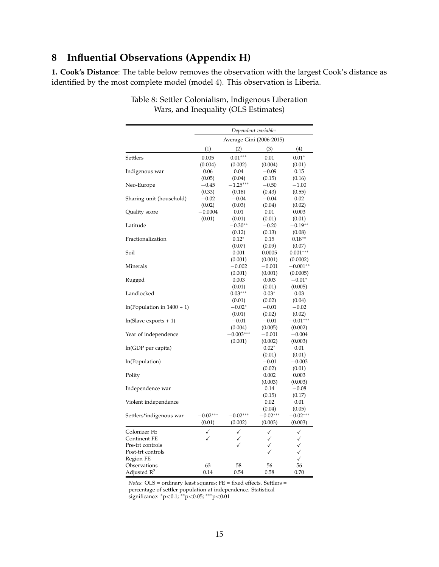## <span id="page-14-0"></span>**8 Influential Observations (Appendix H)**

**1. Cook's Distance**: The table below removes the observation with the largest Cook's distance as identified by the most complete model (model 4). This observation is Liberia.

|                              | Dependent variable: |                          |            |            |
|------------------------------|---------------------|--------------------------|------------|------------|
|                              |                     | Average Gini (2006-2015) |            |            |
|                              | (1)                 | (2)                      | (3)        | (4)        |
| Settlers                     | 0.005               | $0.01***$                | 0.01       | $0.01*$    |
|                              | (0.004)             | (0.002)                  | (0.004)    | (0.01)     |
| Indigenous war               | 0.06                | 0.04                     | $-0.09$    | 0.15       |
|                              | (0.05)              | (0.04)                   | (0.15)     | (0.16)     |
| Neo-Europe                   | $-0.45$             | $-1.25***$               | $-0.50$    | $-1.00$    |
|                              | (0.33)              | (0.18)                   | (0.43)     | (0.55)     |
| Sharing unit (household)     | $-0.02$             | $-0.04$                  | $-0.04$    | 0.02       |
|                              | (0.02)              | (0.03)                   | (0.04)     | (0.02)     |
| Quality score                | $-0.0004$           | 0.01                     | 0.01       | 0.003      |
|                              | (0.01)              | (0.01)                   | (0.01)     | (0.01)     |
| Latitude                     |                     | $-0.30**$                | $-0.20$    | $-0.19**$  |
|                              |                     | (0.12)                   | (0.13)     | (0.08)     |
| Fractionalization            |                     | $0.12*$                  | 0.15       | $0.18**$   |
|                              |                     | (0.07)                   | (0.09)     | (0.07)     |
| Soil                         |                     | 0.001                    | 0.0005     | $0.001***$ |
|                              |                     | (0.001)                  | (0.001)    | (0.0002)   |
| Minerals                     |                     | $-0.002$                 | $-0.001$   | $-0.001**$ |
|                              |                     | (0.001)                  | (0.001)    | (0.0005)   |
| Rugged                       |                     | 0.003                    | 0.003      | $-0.01*$   |
|                              |                     | (0.01)                   | (0.01)     | (0.005)    |
| Landlocked                   |                     | $0.03***$                | $0.03*$    | 0.03       |
|                              |                     | (0.01)                   | (0.02)     | (0.04)     |
| $ln(Population in 1400 + 1)$ |                     | $-0.02*$                 | $-0.01$    | $-0.02$    |
|                              |                     | (0.01)                   | (0.02)     | (0.02)     |
| $ln(Slave exports + 1)$      |                     | $-0.01$                  | $-0.01$    | $-0.01***$ |
|                              |                     | (0.004)                  | (0.005)    | (0.002)    |
| Year of independence         |                     | $-0.003***$              | $-0.001$   | $-0.004$   |
|                              |                     | (0.001)                  | (0.002)    | (0.003)    |
| ln(GDP per capita)           |                     |                          | $0.02*$    | 0.01       |
|                              |                     |                          | (0.01)     | (0.01)     |
| ln(Population)               |                     |                          | $-0.01$    | $-0.003$   |
|                              |                     |                          | (0.02)     | (0.01)     |
| Polity                       |                     |                          | 0.002      | 0.003      |
|                              |                     |                          | (0.003)    | (0.003)    |
| Independence war             |                     |                          | 0.14       | $-0.08$    |
|                              |                     |                          | (0.15)     | (0.17)     |
| Violent independence         |                     |                          | 0.02       | 0.01       |
|                              |                     |                          | (0.04)     | (0.05)     |
| Settlers*indigenous war      | $-0.02***$          | $-0.02***$               | $-0.02***$ | $-0.02***$ |
|                              | (0.01)              | (0.002)                  | (0.003)    | (0.003)    |
|                              |                     |                          |            |            |
| Colonizer FE                 | ✓                   | ✓                        | ✓          | ✓          |
| Continent FE                 | ✓                   | ✓                        | ✓          | ✓          |
| Pre-trt controls             |                     | ✓                        | ✓          | ✓          |
| Post-trt controls            |                     |                          | ✓          | ✓          |
| Region FE                    |                     |                          |            | ✓          |
| Observations                 | 63                  | 58                       | 56         | 56         |
| Adjusted $R^2$               | 0.14                | 0.54                     | 0.58       | 0.70       |

Table 8: Settler Colonialism, Indigenous Liberation Wars, and Inequality (OLS Estimates)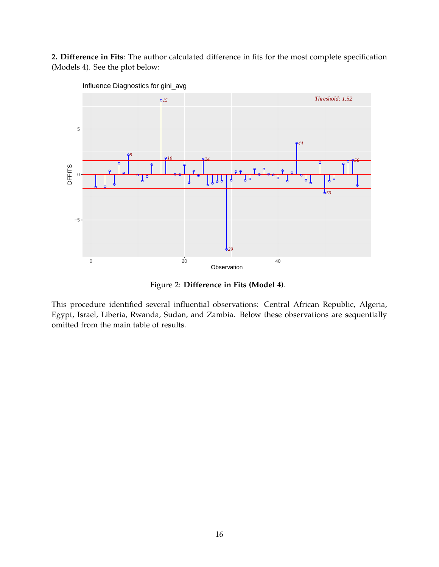**2. Difference in Fits**: The author calculated difference in fits for the most complete specification (Models 4). See the plot below:



Influence Diagnostics for gini\_avg

Figure 2: **Difference in Fits (Model 4)**.

This procedure identified several influential observations: Central African Republic, Algeria, Egypt, Israel, Liberia, Rwanda, Sudan, and Zambia. Below these observations are sequentially omitted from the main table of results.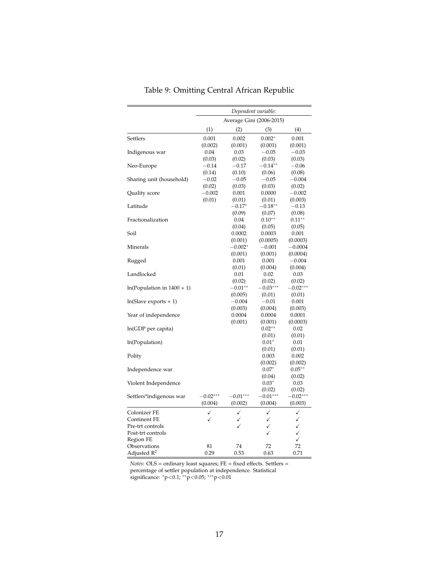|                              | Dependent variable: |                          |                 |                      |
|------------------------------|---------------------|--------------------------|-----------------|----------------------|
|                              |                     | Average Gini (2006-2015) |                 |                      |
|                              | (1)                 | (2)                      | (3)             | (4)                  |
| Settlers                     | 0.001               | 0.002                    | $0.002*$        | 0.001                |
|                              | (0.002)             | (0.001)                  | (0.001)         | (0.001)              |
| Indigenous war               | 0.04                | 0.03                     | $-0.05$         | $-0.03$              |
|                              | (0.03)              | (0.02)                   | (0.03)          | (0.03)               |
| Neo-Europe                   | $-0.14\,$           | $-0.17$                  | $-0.14**$       | $-0.06$              |
|                              | (0.14)              | (0.10)                   | (0.06)          | (0.08)               |
| Sharing unit (household)     | $-0.02$             | $-0.05$                  | $-0.05$         | $-0.004$             |
|                              | (0.02)              | (0.03)                   | (0.03)          | (0.02)               |
| Quality score                | $-0.002$            | 0.001                    | 0.0000          | $-0.002$             |
|                              | (0.01)              | (0.01)                   | (0.01)          | (0.003)              |
| Latitude                     |                     | $-0.17*$                 | $-0.18**$       | $-0.13$              |
|                              |                     | (0.09)                   | (0.07)          | (0.08)               |
| Fractionalization            |                     | 0.04                     | $0.10**$        | $0.11**$             |
|                              |                     | (0.04)                   | (0.05)          | (0.05)               |
| Soil                         |                     | 0.0002                   | 0.0003          | 0.001                |
|                              |                     | (0.001)                  | (0.0005)        | (0.0003)             |
| Minerals                     |                     | $-0.002*$                | $-0.001$        | $-0.0004$            |
|                              |                     | (0.001)                  | (0.001)         | (0.0004)             |
| Rugged                       |                     | 0.001                    | 0.001           | $-0.004$             |
|                              |                     | (0.01)                   | (0.004)         | (0.004)              |
| Landlocked                   |                     | 0.01                     | 0.02            | 0.03                 |
|                              |                     | (0.02)                   | (0.02)          | (0.02)               |
| $ln(Population in 1400 + 1)$ |                     | $-0.01**$                | $-0.03***$      | $0.02***$            |
|                              |                     | (0.005)                  | (0.01)          | (0.01)               |
| $ln(Slave exports + 1)$      |                     | $-0.004$                 | $-0.01$         | 0.001                |
|                              |                     | (0.003)                  | (0.004)         | (0.003)              |
| Year of independence         |                     | 0.0004                   | 0.0004          | 0.0001               |
|                              |                     | (0.001)                  | (0.001)         | (0.0003)             |
| ln(GDP per capita)           |                     |                          | $0.02**$        | 0.02                 |
|                              |                     |                          | (0.01)          | (0.01)               |
| ln(Population)               |                     |                          | $0.01*$         | 0.01                 |
|                              |                     |                          | (0.01)<br>0.003 | (0.01)<br>0.002      |
| Polity                       |                     |                          | (0.002)         |                      |
|                              |                     |                          | $0.07*$         | (0.002)<br>$0.05***$ |
| Independence war             |                     |                          | (0.04)          | (0.02)               |
| Violent Independence         |                     |                          | $0.03*$         | 0.03                 |
|                              |                     |                          | (0.02)          | (0.02)               |
| Settlers*indigenous war      | $-0.02***$          | $-0.01***$               | $-0.01***$      | $-0.02***$           |
|                              | (0.004)             | (0.002)                  | (0.004)         | (0.003)              |
|                              | ✓                   | ✓                        | ✓               |                      |
| Colonizer FE<br>Continent FE | $\checkmark$        | ✓                        | ✓               | ✓<br>✓               |
| Pre-trt controls             |                     | ✓                        | ✓               | $\checkmark$         |
| Post-trt controls            |                     |                          | ✓               | $\checkmark$         |
| Region FE                    |                     |                          |                 | $\checkmark$         |
| Observations                 | 81                  | 74                       | 72              | 72                   |
| Adjusted $\mathbb{R}^2$      | 0.29                | 0.53                     | 0.63            | 0.71                 |
|                              |                     |                          |                 |                      |

Table 9: Omitting Central African Republic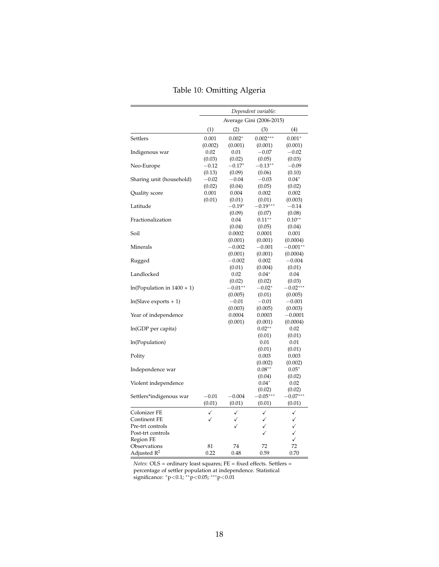|                              | Dependent variable: |              |                          |                              |
|------------------------------|---------------------|--------------|--------------------------|------------------------------|
|                              |                     |              | Average Gini (2006-2015) |                              |
|                              | (1)                 | (2)          | (3)                      | (4)                          |
| Settlers                     | 0.001               | $0.002*$     | $0.002***$               | $0.001*$                     |
|                              | (0.002)             | (0.001)      | (0.001)                  | (0.001)                      |
| Indigenous war               | 0.02                | 0.01         | $-0.07$                  | $-0.02$                      |
|                              | (0.03)              | (0.02)       | (0.05)                   | (0.03)                       |
| Neo-Europe                   | $-0.12$             | $-0.17*$     | $-0.13**$                | $-0.09$                      |
|                              | (0.13)              | (0.09)       | (0.06)                   | (0.10)                       |
| Sharing unit (household)     | $-0.02$             | $-0.04$      | $-0.03$                  | $0.04*$                      |
|                              | (0.02)              | (0.04)       | (0.05)                   | (0.02)                       |
| Quality score                | 0.001               | 0.004        | 0.002                    | 0.002                        |
|                              | (0.01)              | (0.01)       | (0.01)                   | (0.003)                      |
| Latitude                     |                     | $-0.19*$     | $-0.19***$               | $-0.14$                      |
|                              |                     | (0.09)       | (0.07)                   | (0.08)                       |
| Fractionalization            |                     | 0.04         | $0.11**$                 | $0.10**$                     |
|                              |                     | (0.04)       | (0.05)                   | (0.04)                       |
| Soil                         |                     | 0.0002       | 0.0001                   | 0.001                        |
|                              |                     | (0.001)      | (0.001)                  | (0.0004)                     |
| Minerals                     |                     | $-0.002$     | $-0.001$                 | $-0.001^{\ast\ast}$          |
|                              |                     | (0.001)      | (0.001)                  | (0.0004)                     |
| Rugged                       |                     | $-0.002$     | 0.002                    | $-0.004$                     |
|                              |                     | (0.01)       | (0.004)                  | (0.01)                       |
| Landlocked                   |                     | 0.02         | $0.04*$                  | 0.04                         |
|                              |                     | (0.02)       | (0.02)                   | (0.03)                       |
| $ln(Population in 1400 + 1)$ |                     | $-0.01**$    | $-0.02*$                 | $-0.02***$                   |
|                              |                     | (0.005)      | (0.01)                   | (0.005)                      |
| $ln(Slave exports + 1)$      |                     | $-0.01$      | $-0.01$                  | $-0.001$                     |
|                              |                     | (0.003)      | (0.005)                  | (0.003)                      |
| Year of independence         |                     | 0.0004       | 0.0003                   | $-0.0001$                    |
|                              |                     | (0.001)      | (0.001)                  | (0.0004)                     |
| ln(GDP per capita)           |                     |              | $0.02**$                 | 0.02                         |
|                              |                     |              | (0.01)                   | (0.01)                       |
| ln(Population)               |                     |              | 0.01                     | 0.01                         |
|                              |                     |              | (0.01)                   | (0.01)                       |
| Polity                       |                     |              | 0.003                    | 0.003                        |
|                              |                     |              | (0.002)                  | (0.002)                      |
| Independence war             |                     |              | $0.08**$                 | $0.05*$                      |
|                              |                     |              | (0.04)<br>$0.04*$        | (0.02)<br>0.02               |
| Violent independence         |                     |              | (0.02)                   | (0.02)                       |
| Settlers*indigenous war      | $-0.01$             | $-0.004$     | $-0.05***$               | $-0.07***$                   |
|                              | (0.01)              | (0.01)       | (0.01)                   | (0.01)                       |
|                              |                     |              |                          |                              |
| Colonizer FE                 | ✓                   | $\checkmark$ | ✓                        | ✓                            |
| Continent FE                 | ✓                   | ✓<br>✓       | ✓                        |                              |
| Pre-trt controls             |                     |              | ✓                        | $\checkmark$<br>$\checkmark$ |
| Post-trt controls            |                     |              |                          | $\checkmark$                 |
| Region FE                    |                     | 74           |                          |                              |
| Observations                 | 81<br>0.22          |              | 72                       | 72<br>0.70                   |
| Adjusted $\mathbb{R}^2$      |                     | 0.48         | 0.59                     |                              |

|  |  |  | Table 10: Omitting Algeria |  |  |
|--|--|--|----------------------------|--|--|
|--|--|--|----------------------------|--|--|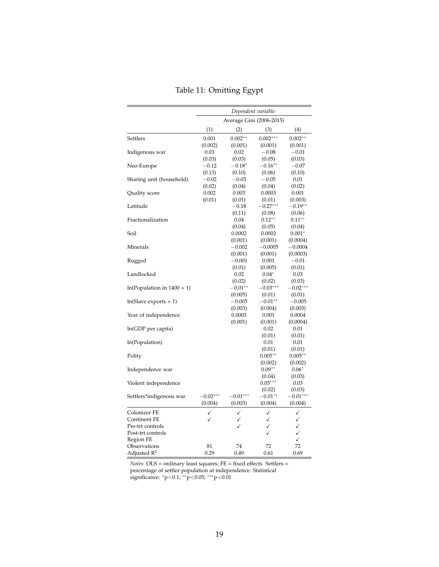|                              | Dependent variable: |                          |              |              |
|------------------------------|---------------------|--------------------------|--------------|--------------|
|                              |                     | Average Gini (2006-2015) |              |              |
|                              | (1)                 | (2)                      | (3)          | (4)          |
| Settlers                     | 0.001               | $0.002**$                | $0.002***$   | $0.002**$    |
|                              | (0.002)             | (0.001)                  | (0.001)      | (0.001)      |
| Indigenous war               | 0.03                | 0.02                     | $-0.08$      | $-0.01$      |
|                              | (0.03)              | (0.03)                   | (0.05)       | (0.03)       |
| Neo-Europe                   | $-0.12$             | $-0.18*$                 | $-0.16**$    | $-0.07$      |
|                              | (0.13)              | (0.10)                   | (0.06)       | (0.10)       |
| Sharing unit (household)     | $-0.02$             | $-0.03$                  | $-0.05$      | 0.01         |
|                              | (0.02)              | (0.04)                   | (0.04)       | (0.02)       |
| Quality score                | 0.002               | 0.003                    | 0.0003       | 0.001        |
|                              | (0.01)              | (0.01)                   | (0.01)       | (0.003)      |
| Latitude                     |                     | $-0.18$                  | $-0.27***$   | $-0.19**$    |
|                              |                     | (0.11)                   | (0.08)       | (0.06)       |
| Fractionalization            |                     | 0.04                     | $0.12**$     | $0.11**$     |
|                              |                     | (0.04)                   | (0.05)       | (0.04)       |
| Soil                         |                     | 0.0002                   | 0.0002       | $0.001*$     |
|                              |                     | (0.001)                  | (0.001)      | (0.0004)     |
| Minerals                     |                     | $-0.002$                 | $-0.0005$    | $-0.0004$    |
|                              |                     | (0.001)                  | (0.001)      | (0.0003)     |
| Rugged                       |                     | $-0.001$                 | 0.001        | $-0.01$      |
|                              |                     | (0.01)                   | (0.005)      | (0.01)       |
| Landlocked                   |                     | 0.02                     | $0.04*$      | 0.03         |
|                              |                     | (0.02)                   | (0.02)       | (0.03)       |
| $ln(Population in 1400 + 1)$ |                     | $-0.01**$                | $-0.03***$   | $-0.02***$   |
|                              |                     | (0.005)                  | (0.01)       | (0.01)       |
| $ln(Slave exports + 1)$      |                     | $-0.005$                 | $-0.01**$    | $-0.005$     |
|                              |                     | (0.003)                  | (0.004)      | (0.003)      |
| Year of independence         |                     | 0.0003                   | 0.001        | 0.0004       |
|                              |                     | (0.001)                  | (0.001)      | (0.0004)     |
| ln(GDP per capita)           |                     |                          | 0.02         | 0.01         |
|                              |                     |                          | (0.01)       | (0.01)       |
| ln(Population)               |                     |                          | 0.01         | 0.01         |
|                              |                     |                          | (0.01)       | (0.01)       |
| Polity                       |                     |                          | $0.005**$    | $0.005**$    |
|                              |                     |                          | (0.002)      | (0.002)      |
| Independence war             |                     |                          | $0.09**$     | $0.06*$      |
|                              |                     |                          | (0.04)       | (0.03)       |
| Violent independence         |                     |                          | $0.05***$    | 0.03         |
|                              |                     |                          | (0.02)       | (0.03)       |
| Settlers*indigenous war      | $-0.02***$          | $-0.01***$               | $-0.01**$    | $-0.01***$   |
|                              | (0.004)             | (0.003)                  | (0.004)      | (0.004)      |
| Colonizer FE                 | ✓                   | ✓                        | $\checkmark$ | ✓            |
| Continent FE                 | ✓                   | ✓                        | ✓            | ✓            |
| Pre-trt controls             |                     | Í                        | ✓            |              |
| Post-trt controls            |                     |                          | ✓            | $\checkmark$ |
| Region FE                    |                     |                          |              | ✓            |
| Observations                 | 81                  | 74                       | 72           | 72           |
| Adjusted R <sup>2</sup>      | 0.29                | 0.49                     | 0.61         | 0.69         |
|                              |                     |                          |              | $\checkmark$ |

|  |  |  | Table 11: Omitting Egypt |  |
|--|--|--|--------------------------|--|
|--|--|--|--------------------------|--|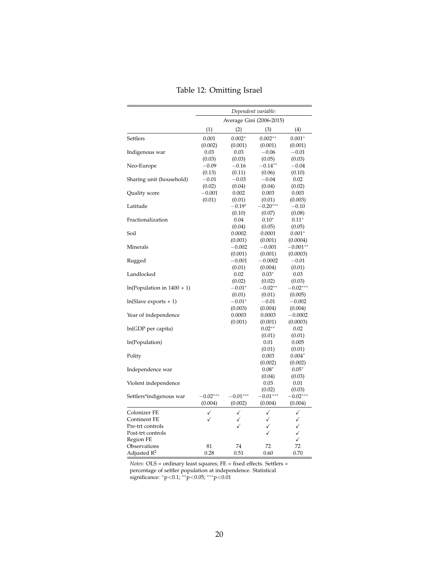|                              | Dependent variable: |                          |                      |                      |
|------------------------------|---------------------|--------------------------|----------------------|----------------------|
|                              |                     | Average Gini (2006-2015) |                      |                      |
|                              | (1)                 | (2)                      | (3)                  | (4)                  |
| Settlers                     | 0.001               | $0.002*$                 | $0.002**$            | $0.001*$             |
|                              | (0.002)             | (0.001)                  | (0.001)              | (0.001)              |
| Indigenous war               | 0.03                | 0.03                     | $-0.06$              | $-0.01$              |
|                              | (0.03)              | (0.03)                   | (0.05)               | (0.03)               |
| Neo-Europe                   | $-0.09$             | $-0.16$                  | $-0.14**$            | $-0.04$              |
|                              | (0.13)              | (0.11)                   | (0.06)               | (0.10)               |
| Sharing unit (household)     | $-0.01$             | $-0.03$                  | $-0.04$              | 0.02                 |
|                              | (0.02)              | (0.04)                   | (0.04)               | (0.02)               |
| Quality score                | $-0.001$            | 0.002                    | 0.003                | 0.003                |
|                              | (0.01)              | (0.01)                   | (0.01)               | (0.003)              |
| Latitude                     |                     | $-0.19*$                 | $-0.20***$           | $-0.10$              |
|                              |                     | (0.10)                   | (0.07)               | (0.08)               |
| Fractionalization            |                     | 0.04                     | $0.10*$              | $0.11^{\ast}$        |
|                              |                     | (0.04)                   | (0.05)               | (0.05)               |
| Soil                         |                     | 0.0002                   | 0.0001               | $0.001*$             |
|                              |                     | (0.001)                  | (0.001)              | (0.0004)             |
| Minerals                     |                     | $-0.002$                 | $-0.001$             | $-0.001**$           |
|                              |                     | (0.001)                  | (0.001)              | (0.0003)             |
| Rugged                       |                     | $-0.001$                 | $-0.0002$            | $-0.01$              |
|                              |                     | (0.01)                   | (0.004)              | (0.01)               |
| Landlocked                   |                     | 0.02                     | $0.03*$              | 0.03                 |
|                              |                     | (0.02)                   | (0.02)               | (0.03)               |
| $ln(Population in 1400 + 1)$ |                     | $-0.01*$                 | $-0.02**$            | $-0.02***$           |
|                              |                     | (0.01)                   | (0.01)               | (0.005)              |
| $ln(Slave exports + 1)$      |                     | $-0.01^*$                | $-0.01$              | $-0.002$             |
|                              |                     | (0.003)                  | (0.004)              | (0.004)              |
| Year of independence         |                     | 0.0003                   | 0.0003               | $-0.0002$            |
|                              |                     | (0.001)                  | (0.001)              | (0.0003)             |
| ln(GDP per capita)           |                     |                          | $0.02**$             | 0.02                 |
|                              |                     |                          | (0.01)               | (0.01)               |
| ln(Population)               |                     |                          | 0.01                 | 0.005                |
|                              |                     |                          | (0.01)               | (0.01)               |
| Polity                       |                     |                          | 0.003                | $0.004*$             |
|                              |                     |                          | (0.002)              | (0.002)              |
| Independence war             |                     |                          | $0.08*$              | $0.05*$              |
|                              |                     |                          | (0.04)               | (0.03)               |
| Violent independence         |                     |                          | 0.03                 | 0.01                 |
|                              |                     |                          |                      |                      |
|                              | $-0.02***$          | $-0.01***$               | (0.02)<br>$-0.01***$ | (0.03)<br>$-0.02***$ |
| Settlers*indigenous war      | (0.004)             | (0.002)                  | (0.004)              | (0.004)              |
|                              |                     |                          |                      |                      |
| Colonizer FE                 | ✓                   | ✓                        | ✓                    | ✓                    |
| Continent FE                 |                     | $\checkmark$             | $\checkmark$         | $\checkmark$         |
| Pre-trt controls             |                     |                          | ✓                    | $\checkmark$         |
| Post-trt controls            |                     |                          | ✓                    | $\checkmark$         |
| Region FE                    |                     |                          |                      | ✓                    |
| Observations                 | 81                  | 74                       | 72                   | 72                   |
| Adjusted $\mathbb{R}^2$      | 0.28                | 0.51                     | 0.60                 | 0.70                 |

|  |  |  | Table 12: Omitting Israel |  |
|--|--|--|---------------------------|--|
|--|--|--|---------------------------|--|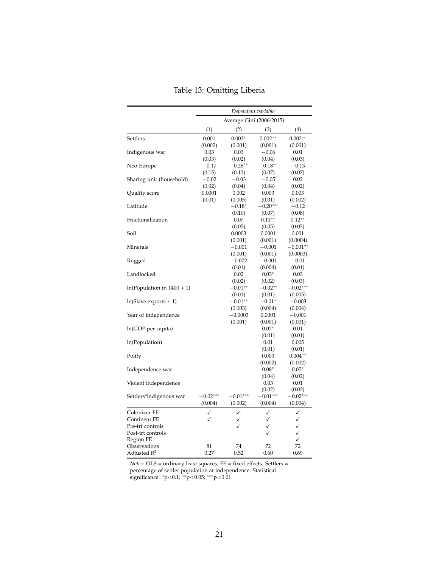|                              | Dependent variable: |                          |            |              |
|------------------------------|---------------------|--------------------------|------------|--------------|
|                              |                     | Average Gini (2006-2015) |            |              |
|                              | (1)                 | (2)                      | (3)        | (4)          |
| Settlers                     | 0.001               | $0.003*$                 | $0.002**$  | $0.002**$    |
|                              | (0.002)             | (0.001)                  | (0.001)    | (0.001)      |
| Indigenous war               | 0.03                | 0.03                     | $-0.06$    | 0.01         |
|                              | (0.03)              | (0.02)                   | (0.04)     | (0.03)       |
| Neo-Europe                   | $-0.17$             | $-0.26**$                | $-0.18**$  | $-0.13$      |
|                              | (0.15)              | (0.12)                   | (0.07)     | (0.07)       |
| Sharing unit (household)     | $-0.02$             | $-0.03$                  | $-0.05$    | 0.02         |
|                              | (0.02)              | (0.04)                   | (0.04)     | (0.02)       |
| Quality score                | 0.0001              | 0.002                    | 0.003      | 0.003        |
|                              | (0.01)              | (0.005)                  | (0.01)     | (0.002)      |
| Latitude                     |                     | $-0.18*$                 | $-0.20***$ | $-0.12$      |
|                              |                     | (0.10)                   | (0.07)     | (0.08)       |
| Fractionalization            |                     | 0.07                     | $0.11**$   | $0.12**$     |
|                              |                     | (0.05)                   | (0.05)     | (0.05)       |
| Soil                         |                     | 0.0003                   | 0.0001     | 0.001        |
|                              |                     | (0.001)                  | (0.001)    | (0.0004)     |
| Minerals                     |                     | $-0.001$                 | $-0.001$   | $-0.001**$   |
|                              |                     | (0.001)                  | (0.001)    | (0.0003)     |
| Rugged                       |                     | $-0.002$                 | $-0.001$   | $-0.01$      |
|                              |                     | (0.01)                   | (0.004)    | (0.01)       |
| Landlocked                   |                     | 0.02                     | $0.03*$    | 0.03         |
|                              |                     | (0.02)                   | (0.02)     | (0.03)       |
| $ln(Population in 1400 + 1)$ |                     | $-0.01**$                | $-0.02**$  | $-0.02***$   |
|                              |                     | (0.01)                   | (0.01)     | (0.005)      |
| $ln(Slave exports + 1)$      |                     | $-0.01**$                | $-0.01^*$  | $-0.003$     |
|                              |                     | (0.003)                  | (0.004)    | (0.004)      |
| Year of independence         |                     | $-0.0003$                | 0.0001     | $-0.001$     |
|                              |                     | (0.001)                  | (0.001)    | (0.001)      |
| ln(GDP per capita)           |                     |                          | $0.02*$    | 0.01         |
|                              |                     |                          | (0.01)     | (0.01)       |
| In(Population)               |                     |                          | 0.01       | 0.005        |
|                              |                     |                          | (0.01)     | (0.01)       |
| Polity                       |                     |                          | 0.003      | $0.004**$    |
|                              |                     |                          | (0.002)    | (0.002)      |
| Independence war             |                     |                          | $0.08*$    | $0.05*$      |
|                              |                     |                          | (0.04)     | (0.02)       |
| Violent independence         |                     |                          | 0.03       | 0.01         |
|                              |                     |                          | (0.02)     | (0.03)       |
| Settlers*indigenous war      | $-0.02***$          | $-0.01***$               | $-0.01***$ | $-0.02***$   |
|                              | (0.004)             | (0.002)                  | (0.004)    | (0.004)      |
| Colonizer FE                 | ✓                   | ✓                        | ✓          | ✓            |
| Continent FE                 | ✓                   | ✓                        | ✓          | ✓            |
| Pre-trt controls             |                     | ✓                        | ✓          | $\checkmark$ |
| Post-trt controls            |                     |                          | ✓          | $\checkmark$ |
| Region FE                    |                     |                          |            | $\checkmark$ |
| Observations                 | 81                  | 74                       | 72         | 72           |
| Adjusted $\mathbb{R}^2$      | 0.27                | 0.52                     | 0.60       | 0.69         |
|                              |                     |                          |            |              |

Table 13: Omitting Liberia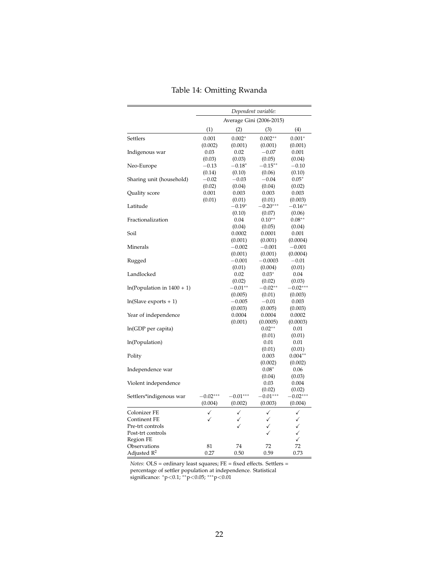|                              | Dependent variable: |                          |              |              |
|------------------------------|---------------------|--------------------------|--------------|--------------|
|                              |                     | Average Gini (2006-2015) |              |              |
|                              | (1)                 | (2)                      | (3)          | (4)          |
| Settlers                     | 0.001               | $0.002*$                 | $0.002**$    | $0.001*$     |
|                              | (0.002)             | (0.001)                  | (0.001)      | (0.001)      |
| Indigenous war               | 0.03                | 0.02                     | $-0.07$      | 0.001        |
|                              | (0.03)              | (0.03)                   | (0.05)       | (0.04)       |
| Neo-Europe                   | $-0.13$             | $-0.18^*$                | $-0.15***$   | $-0.10$      |
|                              | (0.14)              | (0.10)                   | (0.06)       | (0.10)       |
| Sharing unit (household)     | $-0.02$             | $-0.03$                  | $-0.04$      | $0.05*$      |
|                              | (0.02)              | (0.04)                   | (0.04)       | (0.02)       |
| Quality score                | 0.001               | 0.003                    | 0.003        | 0.003        |
|                              | (0.01)              | (0.01)                   | (0.01)       | (0.003)      |
| Latitude                     |                     | $-0.19*$                 | $-0.20***$   | $-0.16***$   |
|                              |                     | (0.10)                   | (0.07)       | (0.06)       |
| Fractionalization            |                     | 0.04                     | $0.10**$     | $0.08**$     |
|                              |                     | (0.04)                   | (0.05)       | (0.04)       |
| Soil                         |                     | 0.0002                   | 0.0001       | 0.001        |
|                              |                     | (0.001)                  | (0.001)      | (0.0004)     |
| Minerals                     |                     | $-0.002$                 | $-0.001$     | $-0.001$     |
|                              |                     | (0.001)                  | (0.001)      | (0.0004)     |
| Rugged                       |                     | $-0.001$                 | $-0.0003$    | $-0.01$      |
|                              |                     | (0.01)                   | (0.004)      | (0.01)       |
| Landlocked                   |                     | 0.02                     | $0.03*$      | 0.04         |
|                              |                     | (0.02)                   | (0.02)       | (0.03)       |
| $ln(Population in 1400 + 1)$ |                     | $-0.01**$                | $-0.02**$    | $-0.02***$   |
|                              |                     | (0.005)                  | (0.01)       | (0.003)      |
| $ln(Slave exports + 1)$      |                     | $-0.005$                 | $-0.01$      | 0.003        |
|                              |                     | (0.003)                  | (0.005)      | (0.003)      |
| Year of independence         |                     | 0.0004                   | 0.0004       | 0.0002       |
|                              |                     | (0.001)                  | (0.0005)     | (0.0003)     |
| ln(GDP per capita)           |                     |                          | $0.02**$     | 0.01         |
|                              |                     |                          | (0.01)       | (0.01)       |
| ln(Population)               |                     |                          | 0.01         | 0.01         |
|                              |                     |                          | (0.01)       | (0.01)       |
| Polity                       |                     |                          | 0.003        | $0.004**$    |
|                              |                     |                          | (0.002)      | (0.002)      |
| Independence war             |                     |                          | $0.08*$      | 0.06         |
|                              |                     |                          | (0.04)       | (0.03)       |
| Violent independence         |                     |                          | 0.03         | 0.004        |
|                              |                     |                          | (0.02)       | (0.02)       |
| Settlers*indigenous war      | $-0.02***$          | $-0.01***$               | $-0.01***$   | $-0.02***$   |
|                              | (0.004)             | (0.002)                  | (0.003)      | (0.004)      |
| Colonizer FE                 | ✓                   | $\checkmark$             | $\checkmark$ | ✓            |
| Continent FE                 | ✓                   | ✓                        | ✓            | ✓            |
| Pre-trt controls             |                     | ✓                        | ✓            | $\checkmark$ |
| Post-trt controls            |                     |                          |              | $\checkmark$ |
| Region FE                    |                     |                          |              | ✓            |
| Observations                 | 81                  | 74                       | 72           | 72           |
| Adjusted R <sup>2</sup>      | 0.27                | 0.50                     | 0.59         | 0.73         |

|  |  |  | Table 14: Omitting Rwanda |  |
|--|--|--|---------------------------|--|
|--|--|--|---------------------------|--|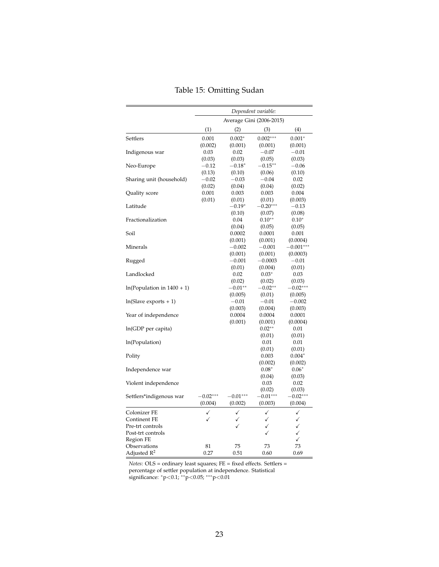|                              | Dependent variable: |              |                          |              |
|------------------------------|---------------------|--------------|--------------------------|--------------|
|                              |                     |              | Average Gini (2006-2015) |              |
|                              | (1)                 | (2)          | (3)                      | (4)          |
| Settlers                     | 0.001               | $0.002*$     | $0.002***$               | $0.001*$     |
|                              | (0.002)             | (0.001)      | (0.001)                  | (0.001)      |
| Indigenous war               | 0.03                | 0.02         | $-0.07$                  | $-0.01$      |
|                              | (0.03)              | (0.03)       | (0.05)                   | (0.03)       |
| Neo-Europe                   | $-0.12$             | $-0.18*$     | $-0.15***$               | $-0.06$      |
|                              | (0.13)              | (0.10)       | (0.06)                   | (0.10)       |
| Sharing unit (household)     | $-0.02$             | $-0.03$      | $-0.04$                  | 0.02         |
|                              | (0.02)              | (0.04)       | (0.04)                   | (0.02)       |
| Quality score                | 0.001               | 0.003        | 0.003                    | 0.004        |
|                              | (0.01)              | (0.01)       | (0.01)                   | (0.003)      |
| Latitude                     |                     | $-0.19*$     | $-0.20***$               | $-0.13$      |
|                              |                     | (0.10)       | (0.07)                   | (0.08)       |
| Fractionalization            |                     | 0.04         | $0.10**$                 | $0.10*$      |
|                              |                     | (0.04)       | (0.05)                   | (0.05)       |
| Soil                         |                     | 0.0002       | 0.0001                   | 0.001        |
|                              |                     | (0.001)      | (0.001)                  | (0.0004)     |
| Minerals                     |                     | $-0.002$     | $-0.001$                 | $-0.001***$  |
|                              |                     | (0.001)      | (0.001)                  | (0.0003)     |
| Rugged                       |                     | $-0.001$     | $-0.0003$                | $-0.01$      |
|                              |                     | (0.01)       | (0.004)                  | (0.01)       |
| Landlocked                   |                     | 0.02         | $0.03*$                  | 0.03         |
|                              |                     | (0.02)       | (0.02)                   | (0.03)       |
| $ln(Population in 1400 + 1)$ |                     | $-0.01**$    | $-0.02**$                | $-0.02***$   |
|                              |                     | (0.005)      | (0.01)                   | (0.005)      |
| $ln(Slave exports + 1)$      |                     | $-0.01$      | $-0.01$                  | $-0.002$     |
|                              |                     | (0.003)      | (0.004)                  | (0.003)      |
| Year of independence         |                     | 0.0004       | 0.0004                   | 0.0001       |
|                              |                     | (0.001)      | (0.001)                  | (0.0004)     |
| ln(GDP per capita)           |                     |              | $0.02**$                 | 0.01         |
|                              |                     |              | (0.01)                   | (0.01)       |
| ln(Population)               |                     |              | 0.01                     | 0.01         |
|                              |                     |              | (0.01)                   | (0.01)       |
| Polity                       |                     |              | 0.003                    | $0.004*$     |
|                              |                     |              | (0.002)                  | (0.002)      |
| Independence war             |                     |              | $0.08*$                  | $0.06*$      |
|                              |                     |              | (0.04)                   | (0.03)       |
| Violent independence         |                     |              | 0.03                     | 0.02         |
|                              |                     |              | (0.02)                   | (0.03)       |
| Settlers*indigenous war      | $-0.02***$          | $-0.01***$   | $-0.01***$               | $-0.02***$   |
|                              | (0.004)             | (0.002)      | (0.003)                  | (0.004)      |
| Colonizer FE                 | ✓                   | $\checkmark$ | $\checkmark$             | $\checkmark$ |
| Continent FE                 | ✓                   | ✓            | ✓                        | ✓            |
| Pre-trt controls             |                     | Í            | ✓                        | ✓            |
| Post-trt controls            |                     |              |                          | ✓            |
| Region FE                    |                     |              |                          | ✓            |
| Observations                 | 81                  | 75           | 73                       | 73           |
| Adjusted R <sup>2</sup>      | 0.27                | 0.51         | 0.60                     | 0.69         |

|  |  |  | Table 15: Omitting Sudan |  |
|--|--|--|--------------------------|--|
|--|--|--|--------------------------|--|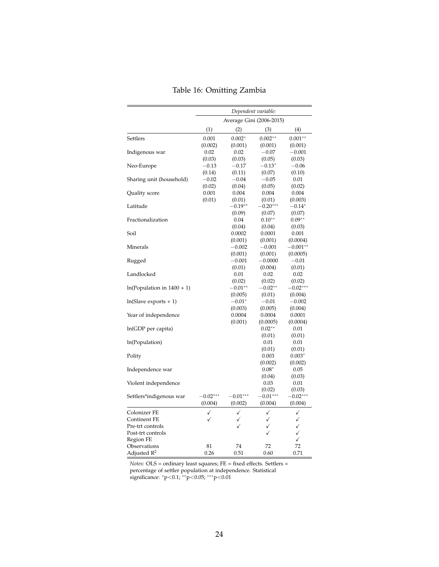|                              | Dependent variable: |                          |              |              |
|------------------------------|---------------------|--------------------------|--------------|--------------|
|                              |                     | Average Gini (2006-2015) |              |              |
|                              | (1)                 | (2)                      | (3)          | (4)          |
| Settlers                     | 0.001               | $0.002*$                 | $0.002**$    | $0.001**$    |
|                              | (0.002)             | (0.001)                  | (0.001)      | (0.001)      |
| Indigenous war               | 0.02                | 0.02                     | $-0.07$      | $-0.001$     |
|                              | (0.03)              | (0.03)                   | (0.05)       | (0.03)       |
| Neo-Europe                   | $-0.13\,$           | $-0.17$                  | $-0.13*$     | $-0.06$      |
|                              | (0.14)              | (0.11)                   | (0.07)       | (0.10)       |
| Sharing unit (household)     | $-0.02$             | $-0.04$                  | $-0.05$      | 0.01         |
|                              | (0.02)              | (0.04)                   | (0.05)       | (0.02)       |
| Quality score                | 0.001               | 0.004                    | 0.004        | 0.004        |
|                              | (0.01)              | (0.01)                   | (0.01)       | (0.003)      |
| Latitude                     |                     | $-0.19**$                | $-0.20***$   | $-0.14^*$    |
|                              |                     | (0.09)                   | (0.07)       | (0.07)       |
| Fractionalization            |                     | 0.04                     | $0.10**$     | $0.09**$     |
|                              |                     | (0.04)                   | (0.04)       | (0.03)       |
| Soil                         |                     | 0.0002                   | 0.0001       | 0.001        |
|                              |                     | (0.001)                  | (0.001)      | (0.0004)     |
| Minerals                     |                     | $-0.002$                 | $-0.001$     | $-0.001**$   |
|                              |                     | (0.001)                  | (0.001)      | (0.0005)     |
| Rugged                       |                     | $-0.001$                 | $-0.0000$    | $-0.01$      |
|                              |                     | (0.01)                   | (0.004)      | (0.01)       |
| Landlocked                   |                     | 0.01                     | 0.02         | 0.02         |
|                              |                     | (0.02)                   | (0.02)       | (0.02)       |
| $ln(Population in 1400 + 1)$ |                     | $-0.01**$                | $-0.02**$    | $-0.02***$   |
|                              |                     | (0.005)                  | (0.01)       | (0.004)      |
| $ln(Slave exports + 1)$      |                     | $-0.01*$                 | $-0.01$      | $-0.002$     |
|                              |                     | (0.003)                  | (0.005)      | (0.004)      |
| Year of independence         |                     | 0.0004                   | 0.0004       | 0.0001       |
|                              |                     | (0.001)                  | (0.0005)     | (0.0004)     |
| ln(GDP per capita)           |                     |                          | $0.02**$     | 0.01         |
|                              |                     |                          | (0.01)       | (0.01)       |
| ln(Population)               |                     |                          | 0.01         | 0.01         |
|                              |                     |                          | (0.01)       | (0.01)       |
| Polity                       |                     |                          | 0.003        | $0.003*$     |
|                              |                     |                          | (0.002)      | (0.002)      |
| Independence war             |                     |                          | $0.08*$      | 0.05         |
|                              |                     |                          | (0.04)       | (0.03)       |
| Violent independence         |                     |                          | 0.03         | 0.01         |
|                              |                     |                          | (0.02)       | (0.03)       |
| Settlers*indigenous war      | $-0.02***$          | $-0.01***$               | $-0.01***$   | $-0.02***$   |
|                              | (0.004)             | (0.002)                  | (0.004)      | (0.004)      |
| Colonizer FE                 | ✓                   | ✓                        | ✓            | ✓            |
| Continent FE                 | ✓                   | ✓                        | ✓            | ✓            |
| Pre-trt controls             |                     | ✓                        | $\checkmark$ | $\checkmark$ |
| Post-trt controls            |                     |                          | ✓            | $\checkmark$ |
| Region FE                    |                     |                          |              | $\checkmark$ |
| Observations                 | 81                  | 74                       | 72           | 72           |
| Adjusted $\mathbb{R}^2$      | 0.26                | 0.51                     | 0.60         | 0.71         |

|  |  |  |  | Table 16: Omitting Zambia |  |  |
|--|--|--|--|---------------------------|--|--|
|--|--|--|--|---------------------------|--|--|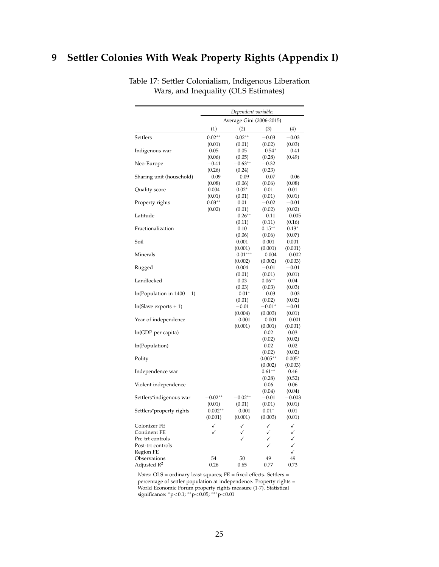## <span id="page-24-0"></span>**9 Settler Colonies With Weak Property Rights (Appendix I)**

|                              |            | Dependent variable:      |            |              |
|------------------------------|------------|--------------------------|------------|--------------|
|                              |            | Average Gini (2006-2015) |            |              |
|                              | (1)        | (2)                      | (3)        | (4)          |
| Settlers                     | $0.02**$   | $0.02**$                 | $-0.03$    | $-0.03$      |
|                              | (0.01)     | (0.01)                   | (0.02)     | (0.03)       |
| Indigenous war               | 0.05       | 0.05                     | $-0.54^*$  | $^{-0.41}$   |
|                              | (0.06)     | (0.05)                   | (0.28)     | (0.49)       |
| Neo-Europe                   | $-0.41$    | $-0.63***$               | $-0.32$    |              |
|                              | (0.26)     | (0.24)                   | (0.23)     |              |
| Sharing unit (household)     | $-0.09$    | $-0.09$                  | $-0.07$    | $-0.06$      |
|                              | (0.08)     | (0.06)                   | (0.06)     | (0.08)       |
| Quality score                | 0.004      | $0.02*$                  | 0.01       | 0.01         |
|                              | (0.01)     | (0.01)                   | (0.01)     | (0.01)       |
| Property rights              | $0.03**$   | 0.01                     | $-0.02$    | $-0.01$      |
|                              | (0.02)     | (0.01)                   | (0.02)     | (0.02)       |
| Latitude                     |            | $-0.26**$                | $-0.11$    | $-0.005$     |
|                              |            | (0.11)                   | (0.11)     | (0.16)       |
| Fractionalization            |            | 0.10                     | $0.15***$  | $0.13*$      |
|                              |            | (0.06)                   | (0.06)     | (0.07)       |
| Soil                         |            | 0.001                    | 0.001      | 0.001        |
|                              |            | (0.001)                  | (0.001)    | (0.001)      |
| Minerals                     |            | $-0.01***$               | $-0.004$   | $-0.002$     |
|                              |            | (0.002)                  | (0.002)    | (0.003)      |
| Rugged                       |            | 0.004                    | $-0.01$    | $-0.01$      |
|                              |            | (0.01)                   | (0.01)     | (0.01)       |
| Landlocked                   |            | 0.03                     | $0.06**$   | 0.04         |
|                              |            | (0.03)                   | (0.03)     | (0.03)       |
| $ln(Population in 1400 + 1)$ |            | $-0.01^*$                | $-0.03$    | $-0.03$      |
|                              |            | (0.01)                   | (0.02)     | (0.02)       |
| $ln(Slave exports + 1)$      |            | $-0.01$                  | $-0.01*$   | $^{ -0.01}$  |
|                              |            | (0.004)                  | (0.003)    | (0.01)       |
| Year of independence         |            | $-0.001$                 | $-0.001$   | $-0.001$     |
|                              |            | (0.001)                  | (0.001)    | (0.001)      |
| ln(GDP per capita)           |            |                          | 0.02       | 0.03         |
|                              |            |                          | (0.02)     | (0.02)       |
| ln(Population)               |            |                          | 0.02       | 0.02         |
|                              |            |                          | (0.02)     | (0.02)       |
| Polity                       |            |                          | $0.005***$ | $0.005*$     |
|                              |            |                          | (0.002)    | (0.003)      |
| Independence war             |            |                          | $0.61**$   | 0.46         |
|                              |            |                          | (0.28)     | (0.52)       |
| Violent independence         |            |                          | 0.06       | 0.06         |
|                              |            |                          | (0.04)     | (0.04)       |
| Settlers*indigenous war      | $-0.02**$  | $-0.02**$                | $-0.01$    | $-0.003$     |
|                              | (0.01)     | (0.01)                   | (0.01)     | (0.01)       |
| Settlers*property rights     | $-0.002**$ | $-0.001$                 | $0.01*$    | 0.01         |
|                              | (0.001)    | (0.001)                  | (0.003)    | (0.01)       |
| Colonizer FE                 | ✓          | ✓                        |            | ✓            |
| <b>Continent FE</b>          |            | ✓                        | ✓          | $\checkmark$ |
| Pre-trt controls             |            |                          | ✓          | $\checkmark$ |
| Post-trt controls            |            |                          |            | $\checkmark$ |
| Region FE                    |            |                          |            | $\checkmark$ |
| Observations                 | 54         | 50                       | 49         | 49           |
| Adjusted $R^2$               | 0.26       | 0.65                     | 0.77       | 0.73         |

Table 17: Settler Colonialism, Indigenous Liberation Wars, and Inequality (OLS Estimates)

 $Notes: OLS = ordinary\ least\ squares; FE = fixed\ effects. \ Setlers =$ percentage of settler population at independence. Property rights = World Economic Forum property rights measure (1-7). Statistical significance: <sup>∗</sup>p<0.1; ∗∗p<0.05; ∗∗∗p<0.01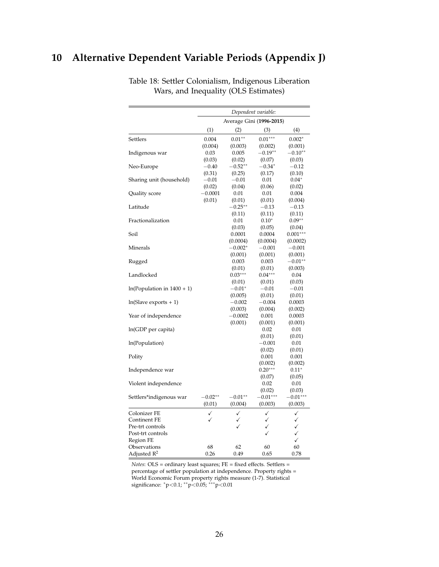## <span id="page-25-0"></span>**10 Alternative Dependent Variable Periods (Appendix J)**

|                              |           | Dependent variable:      |              |              |  |
|------------------------------|-----------|--------------------------|--------------|--------------|--|
|                              |           | Average Gini (1996-2015) |              |              |  |
|                              | (1)       | (2)                      | (3)          | (4)          |  |
| Settlers                     | 0.004     | $0.01**$                 | $0.01***$    | $0.002*$     |  |
|                              | (0.004)   | (0.003)                  | (0.002)      | (0.001)      |  |
| Indigenous war               | 0.03      | 0.005                    | $-0.19**$    | $-0.10**$    |  |
|                              | (0.03)    | (0.02)                   | (0.07)       | (0.03)       |  |
| Neo-Europe                   | $-0.40$   | $-0.52**$                | $-0.34*$     | $-0.12$      |  |
|                              | (0.31)    | (0.25)                   | (0.17)       | (0.10)       |  |
| Sharing unit (household)     | $-0.01$   | $-0.01$                  | 0.01         | $0.04*$      |  |
|                              | (0.02)    | (0.04)                   | (0.06)       | (0.02)       |  |
| Quality score                | $-0.0001$ | 0.01                     | 0.01         | 0.004        |  |
|                              | (0.01)    | (0.01)                   | (0.01)       | (0.004)      |  |
| Latitude                     |           | $-0.25**$                | $^{-0.13}$   | $-0.13$      |  |
|                              |           | (0.11)                   | (0.11)       | (0.11)       |  |
| Fractionalization            |           | 0.01                     | $0.10*$      | $0.09**$     |  |
|                              |           | (0.03)                   | (0.05)       | (0.04)       |  |
| Soil                         |           | 0.0001                   | 0.0004       | $0.001***$   |  |
|                              |           | (0.0004)                 | (0.0004)     | (0.0002)     |  |
| Minerals                     |           | $-0.002*$                | $-0.001$     | $-0.001$     |  |
|                              |           | (0.001)                  | (0.001)      | (0.001)      |  |
| Rugged                       |           | 0.003                    | 0.003        | $-0.01**$    |  |
|                              |           | (0.01)                   | (0.01)       | (0.003)      |  |
| Landlocked                   |           | $0.03***$                | $0.04***$    | 0.04         |  |
|                              |           | (0.01)                   | (0.01)       | (0.03)       |  |
| $ln(Population in 1400 + 1)$ |           | $-0.01^*$                | $-0.01$      | $-0.01$      |  |
|                              |           | (0.005)                  | (0.01)       | (0.01)       |  |
| $ln(Slave exports + 1)$      |           | $-0.002$                 | $-0.004$     | 0.0003       |  |
|                              |           | (0.003)                  | (0.004)      | (0.002)      |  |
| Year of independence         |           | $-0.0002$                | 0.001        | 0.0003       |  |
|                              |           | (0.001)                  | (0.001)      | (0.001)      |  |
| ln(GDP per capita)           |           |                          | 0.02         | 0.01         |  |
|                              |           |                          | (0.01)       | (0.01)       |  |
| ln(Population)               |           |                          | $-0.001$     | 0.01         |  |
|                              |           |                          | (0.02)       | (0.01)       |  |
| Polity                       |           |                          | 0.001        | 0.001        |  |
|                              |           |                          | (0.002)      | (0.002)      |  |
| Independence war             |           |                          | $0.20***$    | $0.11*$      |  |
|                              |           |                          | (0.07)       | (0.05)       |  |
| Violent independence         |           |                          | 0.02         | 0.01         |  |
|                              |           |                          | (0.02)       | (0.03)       |  |
| Settlers*indigenous war      | $-0.02**$ | $-0.01***$               | $-0.01***$   | $-0.01***$   |  |
|                              | (0.01)    | (0.004)                  | (0.003)      | (0.003)      |  |
| Colonizer FE                 | ✓         | ✓                        | ✓            | ✓            |  |
| Continent FE                 | ✓         | ✓                        | $\checkmark$ | $\checkmark$ |  |
| Pre-trt controls             |           |                          | ✓            |              |  |
| Post-trt controls            |           |                          | Í            | $\checkmark$ |  |
| Region FE                    |           |                          |              | ✓            |  |
| Observations                 | 68        | 62                       | 60           | 60           |  |
| Adjusted $R^2$               | 0.26      | 0.49                     | 0.65         | 0.78         |  |

Table 18: Settler Colonialism, Indigenous Liberation Wars, and Inequality (OLS Estimates)

*Notes*: OLS = ordinary least squares; FE = fixed effects. Settlers = percentage of settler population at independence. Property rights = World Economic Forum property rights measure (1-7). Statistical significance: \*p<0.1; \*\*p<0.05; \*\*\*p<0.01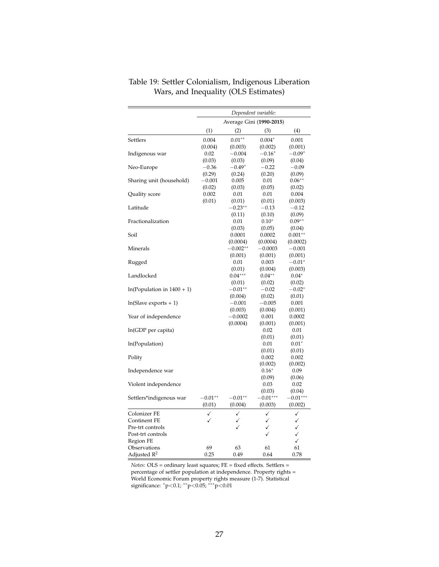|                              | Dependent variable: |                          |                |                |  |
|------------------------------|---------------------|--------------------------|----------------|----------------|--|
|                              |                     | Average Gini (1990-2015) |                |                |  |
|                              | (1)                 | (2)                      | (3)            | (4)            |  |
| Settlers                     | 0.004               | $0.01**$                 | $0.004*$       | 0.001          |  |
|                              | (0.004)             | (0.003)                  | (0.002)        | (0.001)        |  |
| Indigenous war               | 0.02                | $-0.004$                 | $-0.16*$       | $-0.09*$       |  |
|                              | (0.03)              | (0.03)                   | (0.09)         | (0.04)         |  |
| Neo-Europe                   | $-0.36$             | $-0.49*$                 | $-0.22$        | $-0.09$        |  |
|                              | (0.29)              | (0.24)                   | (0.20)         | (0.09)         |  |
| Sharing unit (household)     | $-0.001$            | 0.005                    | 0.01           | $0.06**$       |  |
|                              | (0.02)              | (0.03)                   | (0.05)         | (0.02)         |  |
| Quality score                | 0.002               | 0.01                     | 0.01           | 0.004          |  |
|                              | (0.01)              | (0.01)                   | (0.01)         | (0.003)        |  |
| Latitude                     |                     | $-0.23**$                | $-0.13$        | $-0.12$        |  |
|                              |                     | (0.11)                   | (0.10)         | (0.09)         |  |
| Fractionalization            |                     | 0.01                     | $0.10*$        | $0.09**$       |  |
|                              |                     | (0.03)                   | (0.05)         | (0.04)         |  |
| Soil                         |                     | 0.0001                   | 0.0002         | $0.001**$      |  |
|                              |                     | (0.0004)                 | (0.0004)       | (0.0002)       |  |
| Minerals                     |                     | $-0.002**$               | $-0.0003$      | $-0.001$       |  |
|                              |                     | (0.001)                  | (0.001)        | (0.001)        |  |
| Rugged                       |                     | 0.01                     | 0.003          | $-0.01*$       |  |
|                              |                     | (0.01)                   | (0.004)        | (0.003)        |  |
| Landlocked                   |                     | $0.04***$                | $0.04**$       | $0.04*$        |  |
|                              |                     | (0.01)                   | (0.02)         | (0.02)         |  |
| $ln(Population in 1400 + 1)$ |                     | $-0.01**$                | $-0.02$        | $-0.02*$       |  |
|                              |                     | (0.004)                  | (0.02)         | (0.01)         |  |
| $ln(Slave exports + 1)$      |                     | $-0.001$                 | $-0.005$       | 0.001          |  |
|                              |                     | (0.003)                  | (0.004)        | (0.001)        |  |
| Year of independence         |                     | $-0.0002$                | 0.001          | 0.0002         |  |
|                              |                     | (0.0004)                 | (0.001)        | (0.001)        |  |
| ln(GDP per capita)           |                     |                          | 0.02           | 0.01           |  |
|                              |                     |                          | (0.01)         | (0.01)         |  |
| ln(Population)               |                     |                          | 0.01           | $0.01*$        |  |
|                              |                     |                          | (0.01)         | (0.01)         |  |
| Polity                       |                     |                          | 0.002          | 0.002          |  |
|                              |                     |                          | (0.002)        | (0.002)        |  |
| Independence war             |                     |                          | $0.16*$        | 0.09           |  |
|                              |                     |                          | (0.09)         | (0.06)         |  |
| Violent independence         |                     |                          | 0.03<br>(0.03) | 0.02<br>(0.04) |  |
| Settlers*indigenous war      | $-0.01**$           | $-0.01**$                | $-0.01***$     | $-0.01***$     |  |
|                              | (0.01)              | (0.004)                  | (0.003)        | (0.002)        |  |
|                              |                     |                          |                |                |  |
| Colonizer FE                 | ✓                   | ✓                        | ✓              | ✓              |  |
| Continent FE                 |                     | ✓                        | ✓              | ✓              |  |
| Pre-trt controls             |                     |                          | ✓              | $\checkmark$   |  |
| Post-trt controls            |                     |                          | ✓              | $\checkmark$   |  |
| Region FE                    |                     |                          |                | ✓              |  |
| Observations                 | 69                  | 63                       | 61             | 61             |  |
| Adjusted $R^2$               | 0.25                | 0.49                     | 0.64           | 0.78           |  |

Table 19: Settler Colonialism, Indigenous Liberation Wars, and Inequality (OLS Estimates)

*Notes*: OLS = ordinary least squares; FE = fixed effects. Settlers = percentage of settler population at independence. Property rights = World Economic Forum property rights measure (1-7). Statistical significance: \*p<0.1; \*\*p<0.05; \*\*\*p<0.01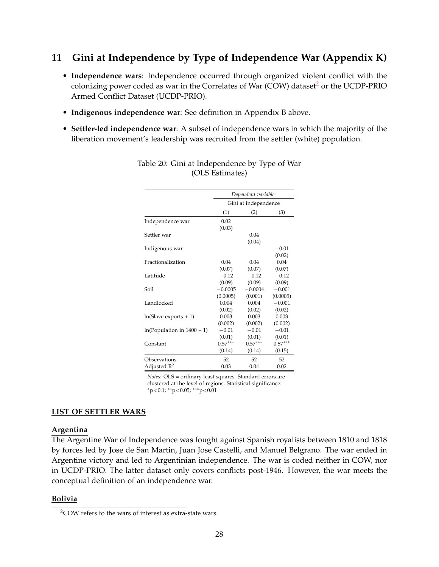## <span id="page-27-0"></span>**11 Gini at Independence by Type of Independence War (Appendix K)**

- **Independence wars**: Independence occurred through organized violent conflict with the colonizing power coded as war in the Correlates of War (COW) dataset<sup>[2](#page-27-1)</sup> or the UCDP-PRIO Armed Conflict Dataset (UCDP-PRIO).
- **Indigenous independence war**: See definition in Appendix B above.
- **Settler-led independence war**: A subset of independence wars in which the majority of the liberation movement's leadership was recruited from the settler (white) population.

|                              | Dependent variable:<br>Gini at independence |           |           |  |
|------------------------------|---------------------------------------------|-----------|-----------|--|
|                              |                                             |           |           |  |
|                              | (1)                                         | (2)       | (3)       |  |
| Independence war             | 0.02                                        |           |           |  |
|                              | (0.03)                                      |           |           |  |
| Settler war                  |                                             | 0.04      |           |  |
|                              |                                             | (0.04)    |           |  |
| Indigenous war               |                                             |           | $-0.01$   |  |
|                              |                                             |           | (0.02)    |  |
| Fractionalization            | 0.04                                        | 0.04      | 0.04      |  |
|                              | (0.07)                                      | (0.07)    | (0.07)    |  |
| Latitude                     | $-0.12$                                     | $-0.12$   | $-0.12$   |  |
|                              | (0.09)                                      | (0.09)    | (0.09)    |  |
| Soil                         | $-0.0005$                                   | $-0.0004$ | $-0.001$  |  |
|                              | (0.0005)                                    | (0.001)   | (0.0005)  |  |
| Landlocked                   | 0.004                                       | 0.004     | $-0.001$  |  |
|                              | (0.02)                                      | (0.02)    | (0.02)    |  |
| $ln(Slave exports + 1)$      | 0.003                                       | 0.003     | 0.003     |  |
|                              | (0.002)                                     | (0.002)   | (0.002)   |  |
| $ln(Population in 1400 + 1)$ | $-0.01$                                     | $-0.01$   | $-0.01$   |  |
|                              | (0.01)                                      | (0.01)    | (0.01)    |  |
| Constant                     | $0.57***$                                   | $0.57***$ | $0.57***$ |  |
|                              | (0.14)                                      | (0.14)    | (0.15)    |  |
| Observations                 | 52                                          | 52        | 52        |  |
| Adjusted $\mathbb{R}^2$      | 0.03                                        | 0.04      | 0.02      |  |

#### Table 20: Gini at Independence by Type of War (OLS Estimates)

*Notes*: OLS = ordinary least squares. Standard errors are clustered at the level of regions. Statistical significance: <sup>∗</sup>p<0.1; ∗∗p<0.05; ∗∗∗p<0.01

#### **LIST OF SETTLER WARS**

#### **Argentina**

The Argentine War of Independence was fought against Spanish royalists between 1810 and 1818 by forces led by Jose de San Martin, Juan Jose Castelli, and Manuel Belgrano. The war ended in Argentine victory and led to Argentinian independence. The war is coded neither in COW, nor in UCDP-PRIO. The latter dataset only covers conflicts post-1946. However, the war meets the conceptual definition of an independence war.

#### **Bolivia**

<span id="page-27-1"></span><sup>2</sup>COW refers to the wars of interest as extra-state wars.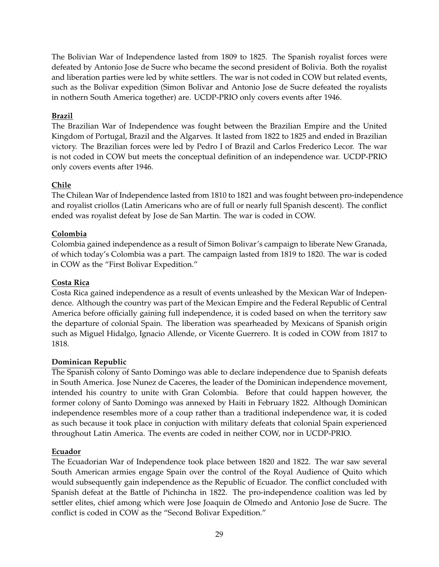The Bolivian War of Independence lasted from 1809 to 1825. The Spanish royalist forces were defeated by Antonio Jose de Sucre who became the second president of Bolivia. Both the royalist and liberation parties were led by white settlers. The war is not coded in COW but related events, such as the Bolivar expedition (Simon Bolivar and Antonio Jose de Sucre defeated the royalists in nothern South America together) are. UCDP-PRIO only covers events after 1946.

#### **Brazil**

The Brazilian War of Independence was fought between the Brazilian Empire and the United Kingdom of Portugal, Brazil and the Algarves. It lasted from 1822 to 1825 and ended in Brazilian victory. The Brazilian forces were led by Pedro I of Brazil and Carlos Frederico Lecor. The war is not coded in COW but meets the conceptual definition of an independence war. UCDP-PRIO only covers events after 1946.

#### **Chile**

The Chilean War of Independence lasted from 1810 to 1821 and was fought between pro-independence and royalist criollos (Latin Americans who are of full or nearly full Spanish descent). The conflict ended was royalist defeat by Jose de San Martin. The war is coded in COW.

#### **Colombia**

Colombia gained independence as a result of Simon Bolivar's campaign to liberate New Granada, of which today's Colombia was a part. The campaign lasted from 1819 to 1820. The war is coded in COW as the "First Bolivar Expedition."

#### **Costa Rica**

Costa Rica gained independence as a result of events unleashed by the Mexican War of Independence. Although the country was part of the Mexican Empire and the Federal Republic of Central America before officially gaining full independence, it is coded based on when the territory saw the departure of colonial Spain. The liberation was spearheaded by Mexicans of Spanish origin such as Miguel Hidalgo, Ignacio Allende, or Vicente Guerrero. It is coded in COW from 1817 to 1818.

#### **Dominican Republic**

The Spanish colony of Santo Domingo was able to declare independence due to Spanish defeats in South America. Jose Nunez de Caceres, the leader of the Dominican independence movement, intended his country to unite with Gran Colombia. Before that could happen however, the former colony of Santo Domingo was annexed by Haiti in February 1822. Although Dominican independence resembles more of a coup rather than a traditional independence war, it is coded as such because it took place in conjuction with military defeats that colonial Spain experienced throughout Latin America. The events are coded in neither COW, nor in UCDP-PRIO.

#### **Ecuador**

The Ecuadorian War of Independence took place between 1820 and 1822. The war saw several South American armies engage Spain over the control of the Royal Audience of Quito which would subsequently gain independence as the Republic of Ecuador. The conflict concluded with Spanish defeat at the Battle of Pichincha in 1822. The pro-independence coalition was led by settler elites, chief among which were Jose Joaquin de Olmedo and Antonio Jose de Sucre. The conflict is coded in COW as the "Second Bolivar Expedition."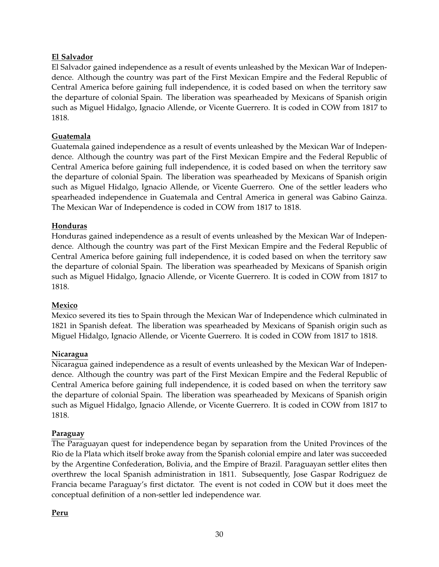#### **El Salvador**

El Salvador gained independence as a result of events unleashed by the Mexican War of Independence. Although the country was part of the First Mexican Empire and the Federal Republic of Central America before gaining full independence, it is coded based on when the territory saw the departure of colonial Spain. The liberation was spearheaded by Mexicans of Spanish origin such as Miguel Hidalgo, Ignacio Allende, or Vicente Guerrero. It is coded in COW from 1817 to 1818.

#### **Guatemala**

Guatemala gained independence as a result of events unleashed by the Mexican War of Independence. Although the country was part of the First Mexican Empire and the Federal Republic of Central America before gaining full independence, it is coded based on when the territory saw the departure of colonial Spain. The liberation was spearheaded by Mexicans of Spanish origin such as Miguel Hidalgo, Ignacio Allende, or Vicente Guerrero. One of the settler leaders who spearheaded independence in Guatemala and Central America in general was Gabino Gainza. The Mexican War of Independence is coded in COW from 1817 to 1818.

#### **Honduras**

Honduras gained independence as a result of events unleashed by the Mexican War of Independence. Although the country was part of the First Mexican Empire and the Federal Republic of Central America before gaining full independence, it is coded based on when the territory saw the departure of colonial Spain. The liberation was spearheaded by Mexicans of Spanish origin such as Miguel Hidalgo, Ignacio Allende, or Vicente Guerrero. It is coded in COW from 1817 to 1818.

#### **Mexico**

Mexico severed its ties to Spain through the Mexican War of Independence which culminated in 1821 in Spanish defeat. The liberation was spearheaded by Mexicans of Spanish origin such as Miguel Hidalgo, Ignacio Allende, or Vicente Guerrero. It is coded in COW from 1817 to 1818.

#### **Nicaragua**

Nicaragua gained independence as a result of events unleashed by the Mexican War of Independence. Although the country was part of the First Mexican Empire and the Federal Republic of Central America before gaining full independence, it is coded based on when the territory saw the departure of colonial Spain. The liberation was spearheaded by Mexicans of Spanish origin such as Miguel Hidalgo, Ignacio Allende, or Vicente Guerrero. It is coded in COW from 1817 to 1818.

#### **Paraguay**

The Paraguayan quest for independence began by separation from the United Provinces of the Rio de la Plata which itself broke away from the Spanish colonial empire and later was succeeded by the Argentine Confederation, Bolivia, and the Empire of Brazil. Paraguayan settler elites then overthrew the local Spanish administration in 1811. Subsequently, Jose Gaspar Rodriguez de Francia became Paraguay's first dictator. The event is not coded in COW but it does meet the conceptual definition of a non-settler led independence war.

#### **Peru**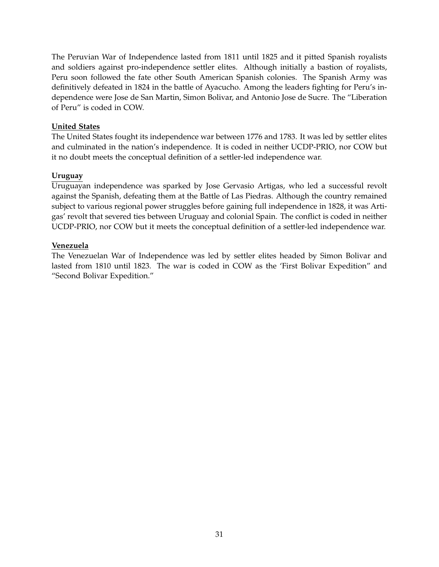The Peruvian War of Independence lasted from 1811 until 1825 and it pitted Spanish royalists and soldiers against pro-independence settler elites. Although initially a bastion of royalists, Peru soon followed the fate other South American Spanish colonies. The Spanish Army was definitively defeated in 1824 in the battle of Ayacucho. Among the leaders fighting for Peru's independence were Jose de San Martin, Simon Bolivar, and Antonio Jose de Sucre. The "Liberation of Peru" is coded in COW.

#### **United States**

The United States fought its independence war between 1776 and 1783. It was led by settler elites and culminated in the nation's independence. It is coded in neither UCDP-PRIO, nor COW but it no doubt meets the conceptual definition of a settler-led independence war.

#### **Uruguay**

Uruguayan independence was sparked by Jose Gervasio Artigas, who led a successful revolt against the Spanish, defeating them at the Battle of Las Piedras. Although the country remained subject to various regional power struggles before gaining full independence in 1828, it was Artigas' revolt that severed ties between Uruguay and colonial Spain. The conflict is coded in neither UCDP-PRIO, nor COW but it meets the conceptual definition of a settler-led independence war.

#### **Venezuela**

<span id="page-30-0"></span>The Venezuelan War of Independence was led by settler elites headed by Simon Bolivar and lasted from 1810 until 1823. The war is coded in COW as the 'First Bolivar Expedition" and "Second Bolivar Expedition."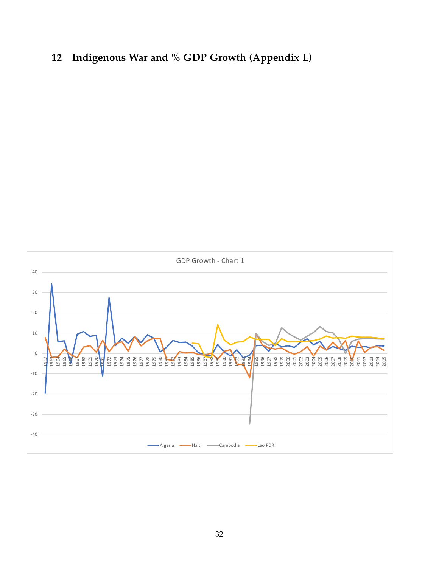# **Indigenous War and % GDP Growth (Appendix L)**

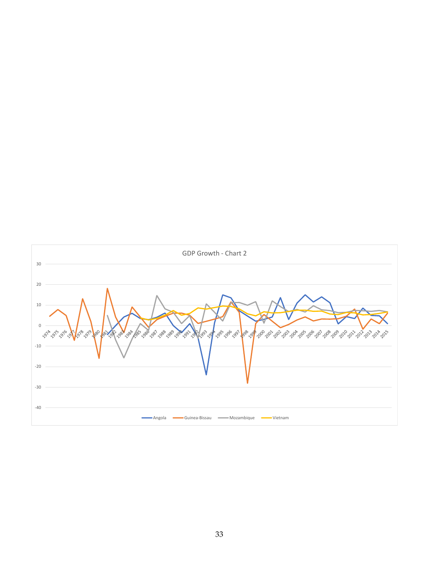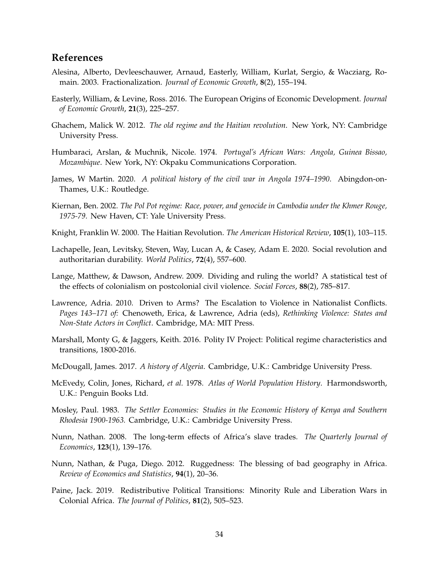#### **References**

- <span id="page-33-8"></span>Alesina, Alberto, Devleeschauwer, Arnaud, Easterly, William, Kurlat, Sergio, & Wacziarg, Romain. 2003. Fractionalization. *Journal of Economic Growth*, **8**(2), 155–194.
- <span id="page-33-16"></span>Easterly, William, & Levine, Ross. 2016. The European Origins of Economic Development. *Journal of Economic Growth*, **21**(3), 225–257.
- <span id="page-33-7"></span>Ghachem, Malick W. 2012. *The old regime and the Haitian revolution*. New York, NY: Cambridge University Press.
- <span id="page-33-5"></span>Humbaraci, Arslan, & Muchnik, Nicole. 1974. *Portugal's African Wars: Angola, Guinea Bissao, Mozambique*. New York, NY: Okpaku Communications Corporation.
- <span id="page-33-3"></span>James, W Martin. 2020. *A political history of the civil war in Angola 1974–1990*. Abingdon-on-Thames, U.K.: Routledge.
- <span id="page-33-4"></span>Kiernan, Ben. 2002. *The Pol Pot regime: Race, power, and genocide in Cambodia under the Khmer Rouge, 1975-79*. New Haven, CT: Yale University Press.
- <span id="page-33-6"></span>Knight, Franklin W. 2000. The Haitian Revolution. *The American Historical Review*, **105**(1), 103–115.
- <span id="page-33-1"></span>Lachapelle, Jean, Levitsky, Steven, Way, Lucan A, & Casey, Adam E. 2020. Social revolution and authoritarian durability. *World Politics*, **72**(4), 557–600.
- <span id="page-33-0"></span>Lange, Matthew, & Dawson, Andrew. 2009. Dividing and ruling the world? A statistical test of the effects of colonialism on postcolonial civil violence. *Social Forces*, **88**(2), 785–817.
- <span id="page-33-14"></span>Lawrence, Adria. 2010. Driven to Arms? The Escalation to Violence in Nationalist Conflicts. *Pages 143–171 of:* Chenoweth, Erica, & Lawrence, Adria (eds), *Rethinking Violence: States and Non-State Actors in Conflict*. Cambridge, MA: MIT Press.
- <span id="page-33-13"></span>Marshall, Monty G, & Jaggers, Keith. 2016. Polity IV Project: Political regime characteristics and transitions, 1800-2016.
- <span id="page-33-2"></span>McDougall, James. 2017. *A history of Algeria*. Cambridge, U.K.: Cambridge University Press.
- <span id="page-33-11"></span>McEvedy, Colin, Jones, Richard, *et al.* 1978. *Atlas of World Population History*. Harmondsworth, U.K.: Penguin Books Ltd.
- <span id="page-33-15"></span>Mosley, Paul. 1983. *The Settler Economies: Studies in the Economic History of Kenya and Southern Rhodesia 1900-1963.* Cambridge, U.K.: Cambridge University Press.
- <span id="page-33-12"></span>Nunn, Nathan. 2008. The long-term effects of Africa's slave trades. *The Quarterly Journal of Economics*, **123**(1), 139–176.
- <span id="page-33-10"></span>Nunn, Nathan, & Puga, Diego. 2012. Ruggedness: The blessing of bad geography in Africa. *Review of Economics and Statistics*, **94**(1), 20–36.
- <span id="page-33-9"></span>Paine, Jack. 2019. Redistributive Political Transitions: Minority Rule and Liberation Wars in Colonial Africa. *The Journal of Politics*, **81**(2), 505–523.